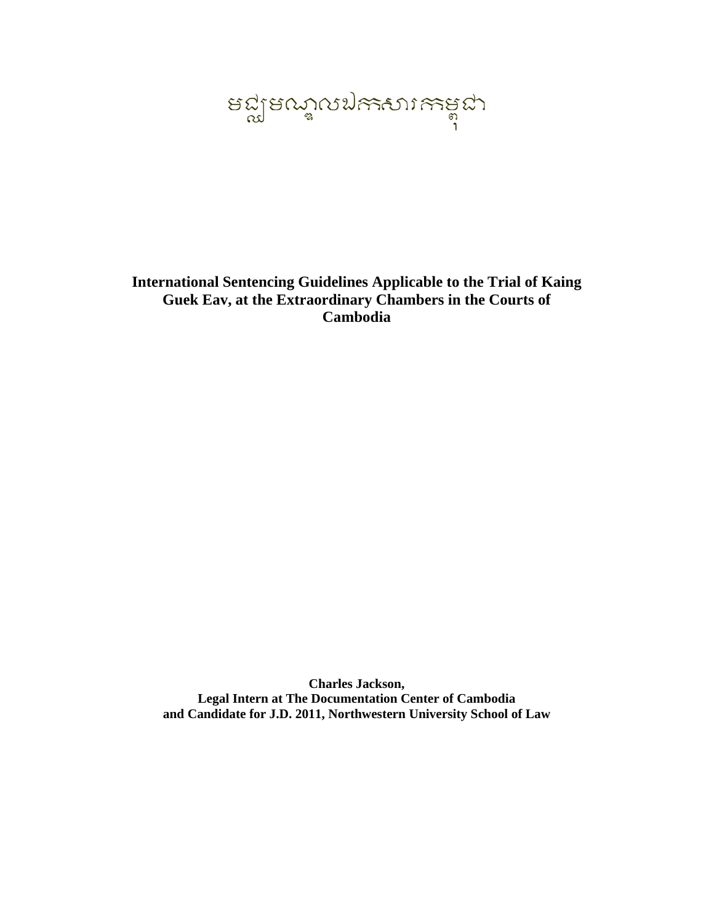ลติโลตข้นภูคระยน<br>ละคือ

# **International Sentencing Guidelines Applicable to the Trial of Kaing Guek Eav, at the Extraordinary Chambers in the Courts of Cambodia**

**Charles Jackson, Legal Intern at The Documentation Center of Cambodia and Candidate for J.D. 2011, Northwestern University School of Law**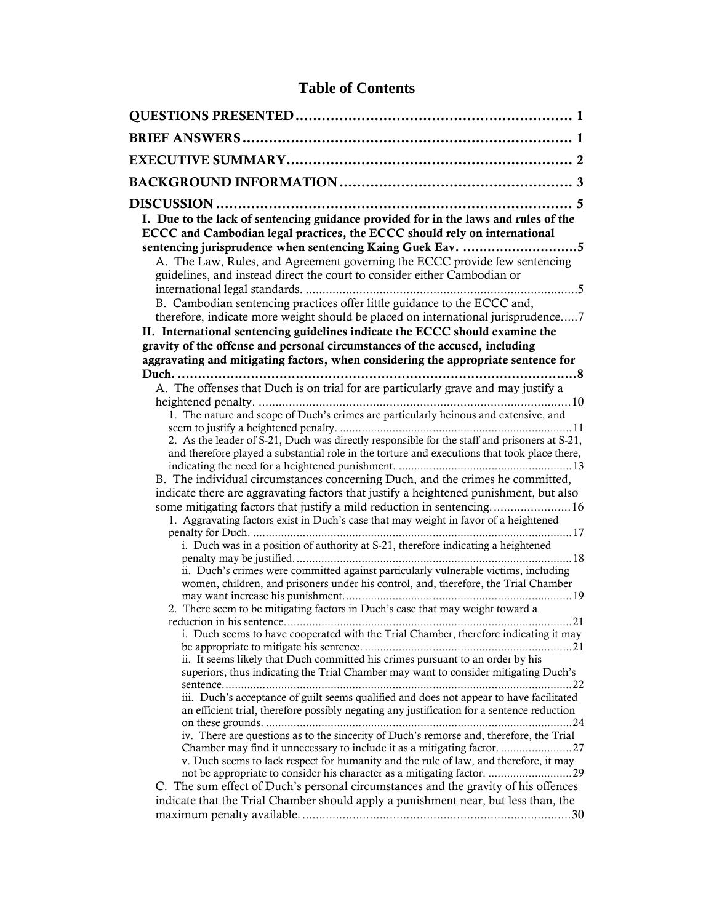# **Table of Contents**

| I. Due to the lack of sentencing guidance provided for in the laws and rules of the<br>ECCC and Cambodian legal practices, the ECCC should rely on international                                                                                              |
|---------------------------------------------------------------------------------------------------------------------------------------------------------------------------------------------------------------------------------------------------------------|
| A. The Law, Rules, and Agreement governing the ECCC provide few sentencing<br>guidelines, and instead direct the court to consider either Cambodian or                                                                                                        |
| B. Cambodian sentencing practices offer little guidance to the ECCC and,<br>therefore, indicate more weight should be placed on international jurisprudence7<br>II. International sentencing guidelines indicate the ECCC should examine the                  |
| gravity of the offense and personal circumstances of the accused, including                                                                                                                                                                                   |
| aggravating and mitigating factors, when considering the appropriate sentence for                                                                                                                                                                             |
| A. The offenses that Duch is on trial for are particularly grave and may justify a                                                                                                                                                                            |
| 1. The nature and scope of Duch's crimes are particularly heinous and extensive, and                                                                                                                                                                          |
| 2. As the leader of S-21, Duch was directly responsible for the staff and prisoners at S-21,<br>and therefore played a substantial role in the torture and executions that took place there,                                                                  |
| B. The individual circumstances concerning Duch, and the crimes he committed,<br>indicate there are aggravating factors that justify a heightened punishment, but also                                                                                        |
| 1. Aggravating factors exist in Duch's case that may weight in favor of a heightened<br>. 17                                                                                                                                                                  |
| i. Duch was in a position of authority at S-21, therefore indicating a heightened                                                                                                                                                                             |
| ii. Duch's crimes were committed against particularly vulnerable victims, including<br>women, children, and prisoners under his control, and, therefore, the Trial Chamber                                                                                    |
| 2. There seem to be mitigating factors in Duch's case that may weight toward a                                                                                                                                                                                |
| i. Duch seems to have cooperated with the Trial Chamber, therefore indicating it may<br>ii. It seems likely that Duch committed his crimes pursuant to an order by his<br>superiors, thus indicating the Trial Chamber may want to consider mitigating Duch's |
| iii. Duch's acceptance of guilt seems qualified and does not appear to have facilitated<br>an efficient trial, therefore possibly negating any justification for a sentence reduction                                                                         |
| iv. There are questions as to the sincerity of Duch's remorse and, therefore, the Trial<br>v. Duch seems to lack respect for humanity and the rule of law, and therefore, it may<br>not be appropriate to consider his character as a mitigating factor. 29   |
| C. The sum effect of Duch's personal circumstances and the gravity of his offences<br>indicate that the Trial Chamber should apply a punishment near, but less than, the                                                                                      |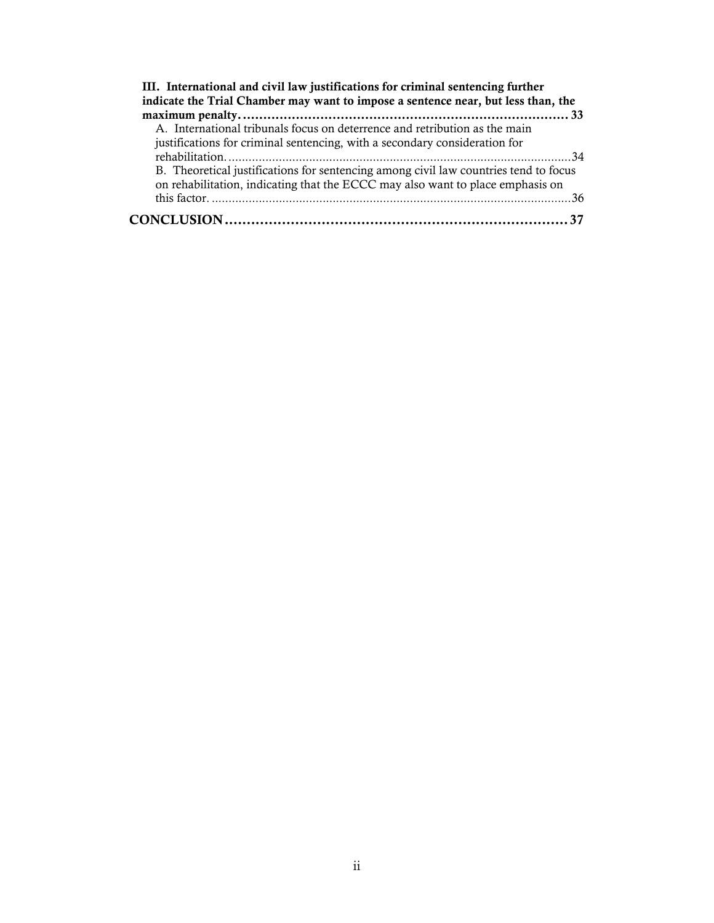| III. International and civil law justifications for criminal sentencing further      |
|--------------------------------------------------------------------------------------|
| indicate the Trial Chamber may want to impose a sentence near, but less than, the    |
|                                                                                      |
| A. International tribunals focus on deterrence and retribution as the main           |
| justifications for criminal sentencing, with a secondary consideration for           |
|                                                                                      |
| B. Theoretical justifications for sentencing among civil law countries tend to focus |
| on rehabilitation, indicating that the ECCC may also want to place emphasis on       |
|                                                                                      |
|                                                                                      |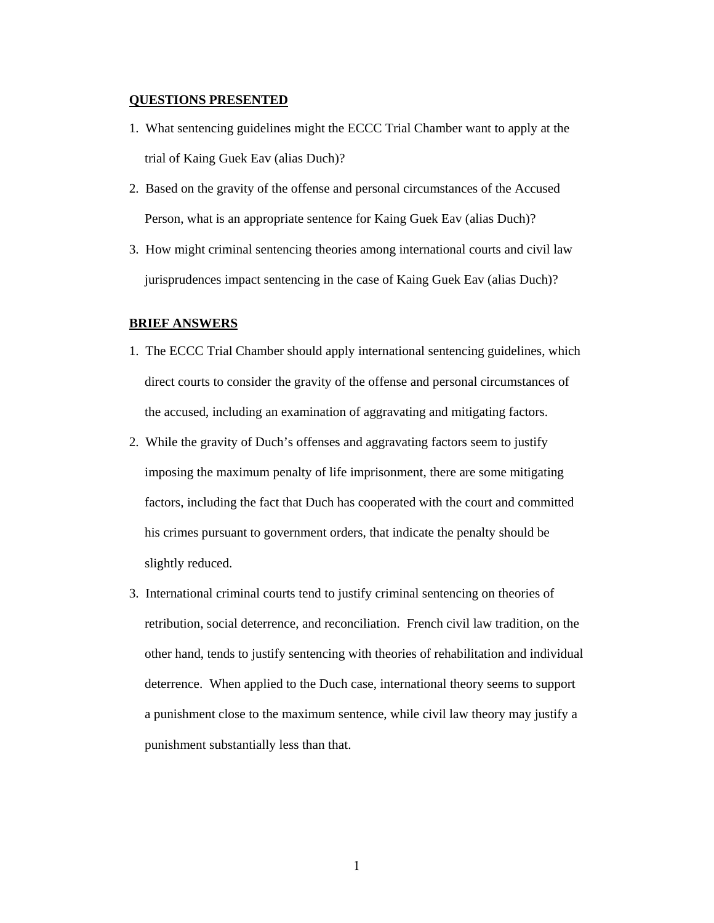#### **QUESTIONS PRESENTED**

- 1. What sentencing guidelines might the ECCC Trial Chamber want to apply at the trial of Kaing Guek Eav (alias Duch)?
- 2. Based on the gravity of the offense and personal circumstances of the Accused Person, what is an appropriate sentence for Kaing Guek Eav (alias Duch)?
- 3. How might criminal sentencing theories among international courts and civil law jurisprudences impact sentencing in the case of Kaing Guek Eav (alias Duch)?

#### **BRIEF ANSWERS**

- 1. The ECCC Trial Chamber should apply international sentencing guidelines, which direct courts to consider the gravity of the offense and personal circumstances of the accused, including an examination of aggravating and mitigating factors.
- 2. While the gravity of Duch's offenses and aggravating factors seem to justify imposing the maximum penalty of life imprisonment, there are some mitigating factors, including the fact that Duch has cooperated with the court and committed his crimes pursuant to government orders, that indicate the penalty should be slightly reduced.
- 3. International criminal courts tend to justify criminal sentencing on theories of retribution, social deterrence, and reconciliation. French civil law tradition, on the other hand, tends to justify sentencing with theories of rehabilitation and individual deterrence. When applied to the Duch case, international theory seems to support a punishment close to the maximum sentence, while civil law theory may justify a punishment substantially less than that.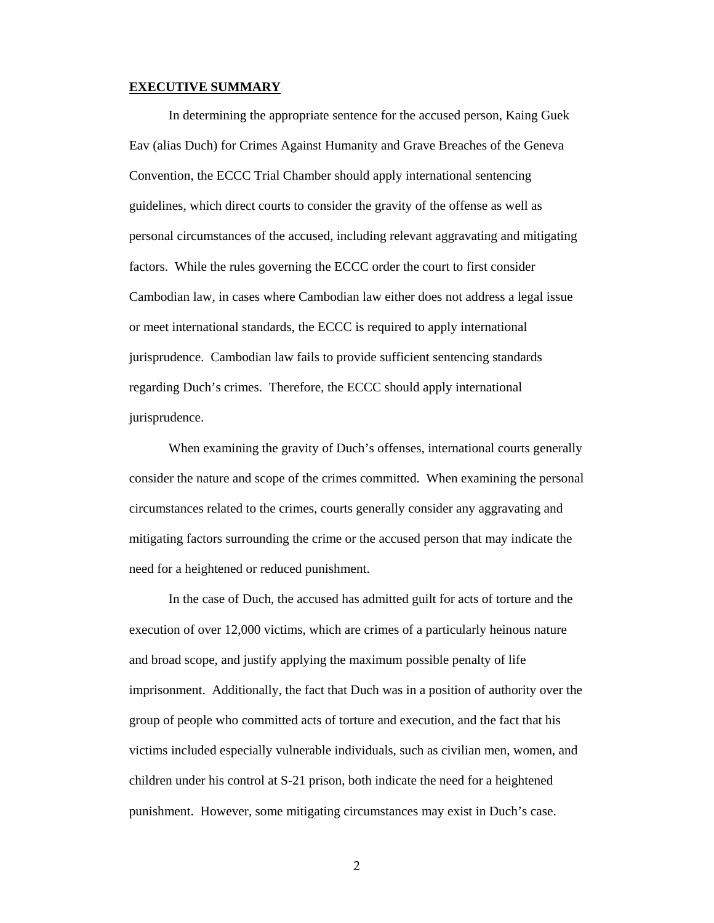#### **EXECUTIVE SUMMARY**

In determining the appropriate sentence for the accused person, Kaing Guek Eav (alias Duch) for Crimes Against Humanity and Grave Breaches of the Geneva Convention, the ECCC Trial Chamber should apply international sentencing guidelines, which direct courts to consider the gravity of the offense as well as personal circumstances of the accused, including relevant aggravating and mitigating factors. While the rules governing the ECCC order the court to first consider Cambodian law, in cases where Cambodian law either does not address a legal issue or meet international standards, the ECCC is required to apply international jurisprudence. Cambodian law fails to provide sufficient sentencing standards regarding Duch's crimes. Therefore, the ECCC should apply international jurisprudence.

When examining the gravity of Duch's offenses, international courts generally consider the nature and scope of the crimes committed. When examining the personal circumstances related to the crimes, courts generally consider any aggravating and mitigating factors surrounding the crime or the accused person that may indicate the need for a heightened or reduced punishment.

In the case of Duch, the accused has admitted guilt for acts of torture and the execution of over 12,000 victims, which are crimes of a particularly heinous nature and broad scope, and justify applying the maximum possible penalty of life imprisonment. Additionally, the fact that Duch was in a position of authority over the group of people who committed acts of torture and execution, and the fact that his victims included especially vulnerable individuals, such as civilian men, women, and children under his control at S-21 prison, both indicate the need for a heightened punishment. However, some mitigating circumstances may exist in Duch's case.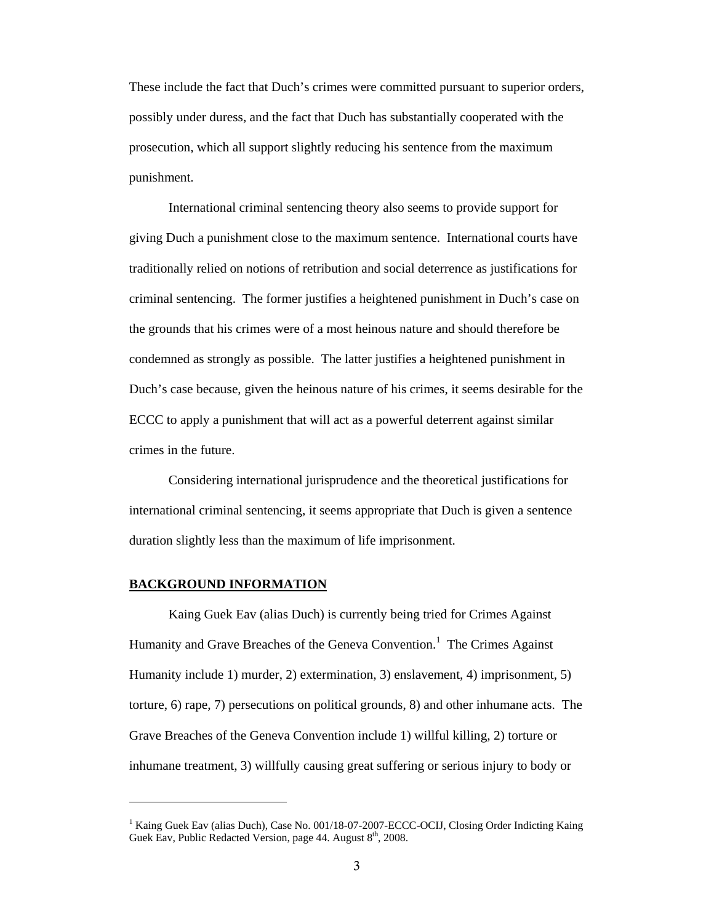These include the fact that Duch's crimes were committed pursuant to superior orders, possibly under duress, and the fact that Duch has substantially cooperated with the prosecution, which all support slightly reducing his sentence from the maximum punishment.

International criminal sentencing theory also seems to provide support for giving Duch a punishment close to the maximum sentence. International courts have traditionally relied on notions of retribution and social deterrence as justifications for criminal sentencing. The former justifies a heightened punishment in Duch's case on the grounds that his crimes were of a most heinous nature and should therefore be condemned as strongly as possible. The latter justifies a heightened punishment in Duch's case because, given the heinous nature of his crimes, it seems desirable for the ECCC to apply a punishment that will act as a powerful deterrent against similar crimes in the future.

Considering international jurisprudence and the theoretical justifications for international criminal sentencing, it seems appropriate that Duch is given a sentence duration slightly less than the maximum of life imprisonment.

#### **BACKGROUND INFORMATION**

Kaing Guek Eav (alias Duch) is currently being tried for Crimes Against Humanity and Grave Breaches of the Geneva Convention.<sup>1</sup> The Crimes Against Humanity include 1) murder, 2) extermination, 3) enslavement, 4) imprisonment, 5) torture, 6) rape, 7) persecutions on political grounds, 8) and other inhumane acts. The Grave Breaches of the Geneva Convention include 1) willful killing, 2) torture or inhumane treatment, 3) willfully causing great suffering or serious injury to body or

<sup>&</sup>lt;sup>1</sup> Kaing Guek Eav (alias Duch), Case No. 001/18-07-2007-ECCC-OCIJ, Closing Order Indicting Kaing Guek Eav, Public Redacted Version, page  $44$ . August  $8<sup>th</sup>$ , 2008.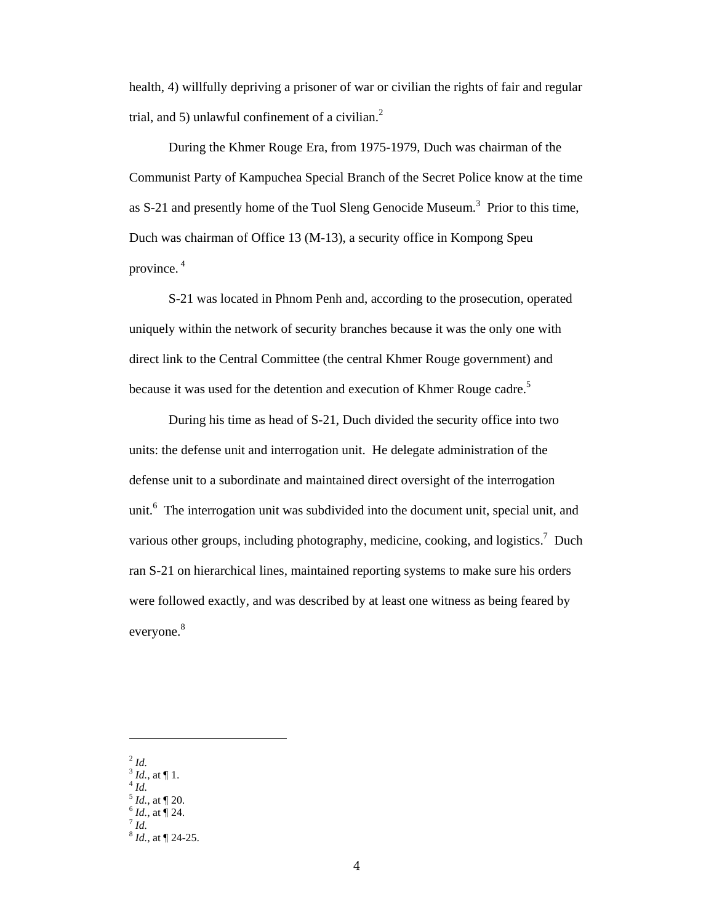health, 4) willfully depriving a prisoner of war or civilian the rights of fair and regular trial, and 5) unlawful confinement of a civilian. $^2$ 

During the Khmer Rouge Era, from 1975-1979, Duch was chairman of the Communist Party of Kampuchea Special Branch of the Secret Police know at the time as S-21 and presently home of the Tuol Sleng Genocide Museum.<sup>3</sup> Prior to this time, Duch was chairman of Office 13 (M-13), a security office in Kompong Speu province. 4

S-21 was located in Phnom Penh and, according to the prosecution, operated uniquely within the network of security branches because it was the only one with direct link to the Central Committee (the central Khmer Rouge government) and because it was used for the detention and execution of Khmer Rouge cadre.<sup>5</sup>

During his time as head of S-21, Duch divided the security office into two units: the defense unit and interrogation unit. He delegate administration of the defense unit to a subordinate and maintained direct oversight of the interrogation unit.<sup>6</sup> The interrogation unit was subdivided into the document unit, special unit, and various other groups, including photography, medicine, cooking, and logistics.<sup>7</sup> Duch ran S-21 on hierarchical lines, maintained reporting systems to make sure his orders were followed exactly, and was described by at least one witness as being feared by everyone.<sup>8</sup>

<sup>2</sup> *Id.*

- $\int_{4}^{3}$  *Id.*, at ¶ 1.<br> $\int_{5}^{4}$  *Id.*, at ¶ 20.
- 
- 
- $\int_7^6$  *Id.*, at ¶ 24.

<sup>8</sup> *Id.*, at ¶ 24-25.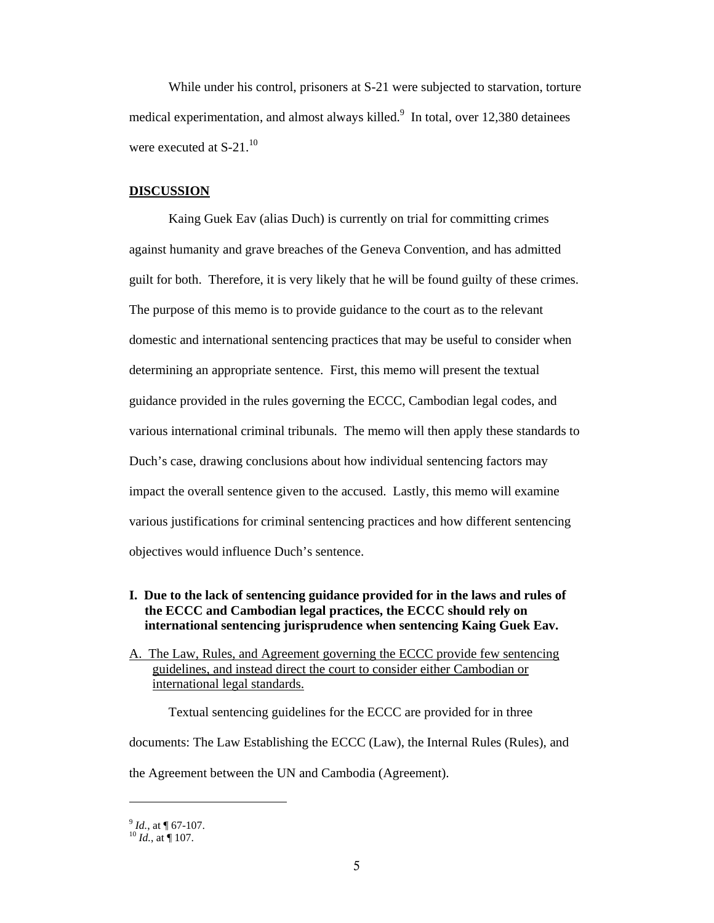While under his control, prisoners at S-21 were subjected to starvation, torture medical experimentation, and almost always killed. $9\,$  In total, over 12,380 detainees were executed at  $S-21$ .<sup>10</sup>

#### **DISCUSSION**

Kaing Guek Eav (alias Duch) is currently on trial for committing crimes against humanity and grave breaches of the Geneva Convention, and has admitted guilt for both. Therefore, it is very likely that he will be found guilty of these crimes. The purpose of this memo is to provide guidance to the court as to the relevant domestic and international sentencing practices that may be useful to consider when determining an appropriate sentence. First, this memo will present the textual guidance provided in the rules governing the ECCC, Cambodian legal codes, and various international criminal tribunals. The memo will then apply these standards to Duch's case, drawing conclusions about how individual sentencing factors may impact the overall sentence given to the accused. Lastly, this memo will examine various justifications for criminal sentencing practices and how different sentencing objectives would influence Duch's sentence.

## **I. Due to the lack of sentencing guidance provided for in the laws and rules of the ECCC and Cambodian legal practices, the ECCC should rely on international sentencing jurisprudence when sentencing Kaing Guek Eav.**

A. The Law, Rules, and Agreement governing the ECCC provide few sentencing guidelines, and instead direct the court to consider either Cambodian or international legal standards.

Textual sentencing guidelines for the ECCC are provided for in three

documents: The Law Establishing the ECCC (Law), the Internal Rules (Rules), and

the Agreement between the UN and Cambodia (Agreement).

 $\int_{10}^{9}$  *Id.*, at ¶ 67-107.<br><sup>10</sup> *Id.*, at ¶ 107.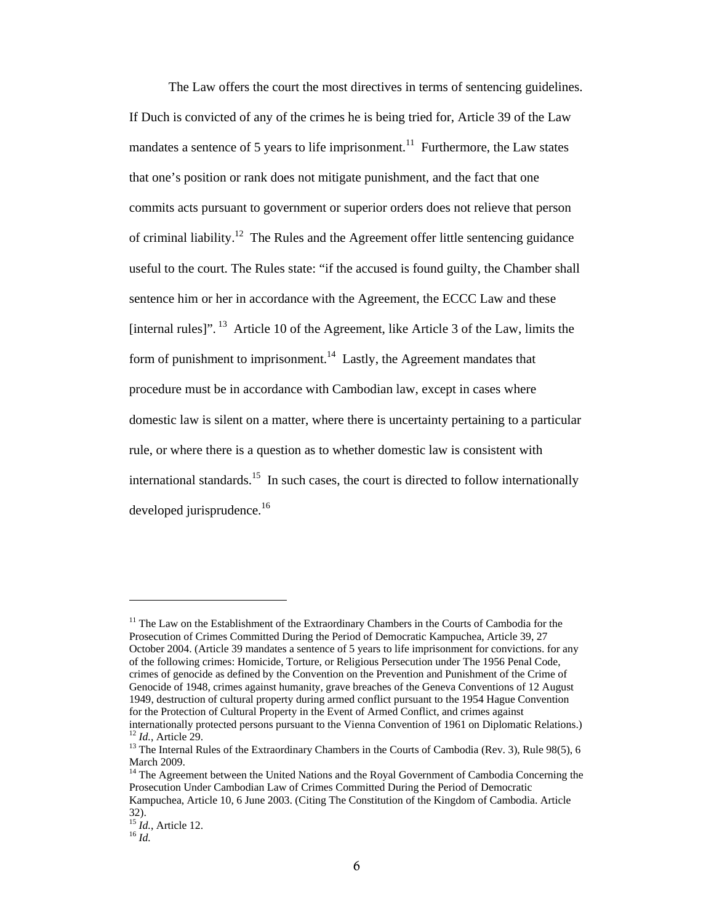The Law offers the court the most directives in terms of sentencing guidelines. If Duch is convicted of any of the crimes he is being tried for, Article 39 of the Law mandates a sentence of 5 years to life imprisonment.<sup>11</sup> Furthermore, the Law states that one's position or rank does not mitigate punishment, and the fact that one commits acts pursuant to government or superior orders does not relieve that person of criminal liability.12 The Rules and the Agreement offer little sentencing guidance useful to the court. The Rules state: "if the accused is found guilty, the Chamber shall sentence him or her in accordance with the Agreement, the ECCC Law and these [internal rules]". <sup>13</sup> Article 10 of the Agreement, like Article 3 of the Law, limits the form of punishment to imprisonment.<sup>14</sup> Lastly, the Agreement mandates that procedure must be in accordance with Cambodian law, except in cases where domestic law is silent on a matter, where there is uncertainty pertaining to a particular rule, or where there is a question as to whether domestic law is consistent with international standards.<sup>15</sup> In such cases, the court is directed to follow internationally developed jurisprudence.<sup>16</sup>

<sup>&</sup>lt;sup>11</sup> The Law on the Establishment of the Extraordinary Chambers in the Courts of Cambodia for the Prosecution of Crimes Committed During the Period of Democratic Kampuchea, Article 39, 27 October 2004. (Article 39 mandates a sentence of 5 years to life imprisonment for convictions. for any of the following crimes: Homicide, Torture, or Religious Persecution under The 1956 Penal Code, crimes of genocide as defined by the Convention on the Prevention and Punishment of the Crime of Genocide of 1948, crimes against humanity, grave breaches of the Geneva Conventions of 12 August 1949, destruction of cultural property during armed conflict pursuant to the 1954 Hague Convention for the Protection of Cultural Property in the Event of Armed Conflict, and crimes against internationally protected persons pursuant to the Vienna Convention of 1961 on Diplomatic Relations.)<br><sup>12</sup> *Id.*, Article 29.

<sup>&</sup>lt;sup>13</sup> The Internal Rules of the Extraordinary Chambers in the Courts of Cambodia (Rev. 3), Rule 98(5), 6 March 2009.

<sup>&</sup>lt;sup>14</sup> The Agreement between the United Nations and the Royal Government of Cambodia Concerning the Prosecution Under Cambodian Law of Crimes Committed During the Period of Democratic Kampuchea, Article 10, 6 June 2003. (Citing The Constitution of the Kingdom of Cambodia. Article 32).

<sup>15</sup> *Id.*, Article 12. 16 *Id.*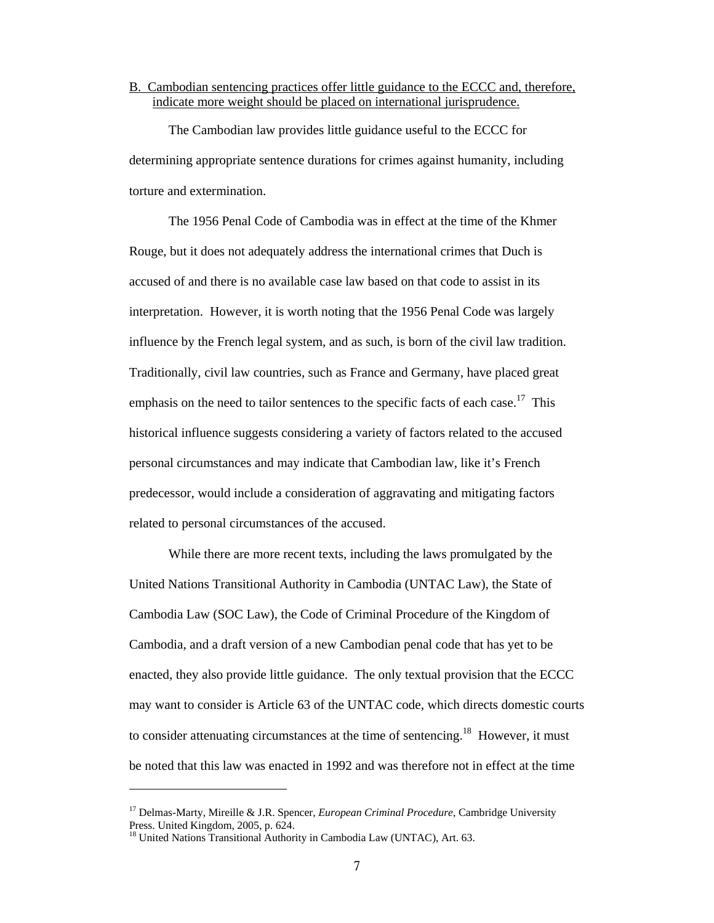#### B. Cambodian sentencing practices offer little guidance to the ECCC and, therefore, indicate more weight should be placed on international jurisprudence.

The Cambodian law provides little guidance useful to the ECCC for determining appropriate sentence durations for crimes against humanity, including torture and extermination.

The 1956 Penal Code of Cambodia was in effect at the time of the Khmer Rouge, but it does not adequately address the international crimes that Duch is accused of and there is no available case law based on that code to assist in its interpretation. However, it is worth noting that the 1956 Penal Code was largely influence by the French legal system, and as such, is born of the civil law tradition. Traditionally, civil law countries, such as France and Germany, have placed great emphasis on the need to tailor sentences to the specific facts of each case.<sup>17</sup> This historical influence suggests considering a variety of factors related to the accused personal circumstances and may indicate that Cambodian law, like it's French predecessor, would include a consideration of aggravating and mitigating factors related to personal circumstances of the accused.

While there are more recent texts, including the laws promulgated by the United Nations Transitional Authority in Cambodia (UNTAC Law), the State of Cambodia Law (SOC Law), the Code of Criminal Procedure of the Kingdom of Cambodia, and a draft version of a new Cambodian penal code that has yet to be enacted, they also provide little guidance. The only textual provision that the ECCC may want to consider is Article 63 of the UNTAC code, which directs domestic courts to consider attenuating circumstances at the time of sentencing.<sup>18</sup> However, it must be noted that this law was enacted in 1992 and was therefore not in effect at the time

<sup>17</sup> Delmas-Marty, Mireille & J.R. Spencer, *European Criminal Procedure*, Cambridge University Press. United Kingdom, 2005, p. 624.

<sup>&</sup>lt;sup>18</sup> United Nations Transitional Authority in Cambodia Law (UNTAC), Art. 63.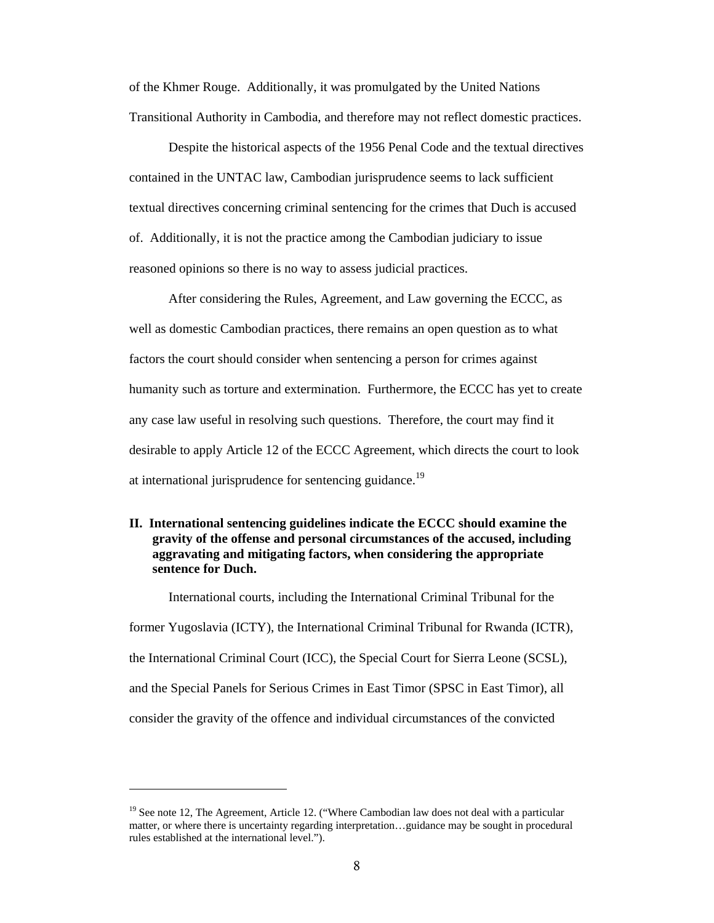of the Khmer Rouge. Additionally, it was promulgated by the United Nations Transitional Authority in Cambodia, and therefore may not reflect domestic practices.

Despite the historical aspects of the 1956 Penal Code and the textual directives contained in the UNTAC law, Cambodian jurisprudence seems to lack sufficient textual directives concerning criminal sentencing for the crimes that Duch is accused of. Additionally, it is not the practice among the Cambodian judiciary to issue reasoned opinions so there is no way to assess judicial practices.

After considering the Rules, Agreement, and Law governing the ECCC, as well as domestic Cambodian practices, there remains an open question as to what factors the court should consider when sentencing a person for crimes against humanity such as torture and extermination. Furthermore, the ECCC has yet to create any case law useful in resolving such questions. Therefore, the court may find it desirable to apply Article 12 of the ECCC Agreement, which directs the court to look at international jurisprudence for sentencing guidance.<sup>19</sup>

## **II. International sentencing guidelines indicate the ECCC should examine the gravity of the offense and personal circumstances of the accused, including aggravating and mitigating factors, when considering the appropriate sentence for Duch.**

International courts, including the International Criminal Tribunal for the former Yugoslavia (ICTY), the International Criminal Tribunal for Rwanda (ICTR), the International Criminal Court (ICC), the Special Court for Sierra Leone (SCSL), and the Special Panels for Serious Crimes in East Timor (SPSC in East Timor), all consider the gravity of the offence and individual circumstances of the convicted

 $19$  See note 12, The Agreement, Article 12. ("Where Cambodian law does not deal with a particular matter, or where there is uncertainty regarding interpretation…guidance may be sought in procedural rules established at the international level.").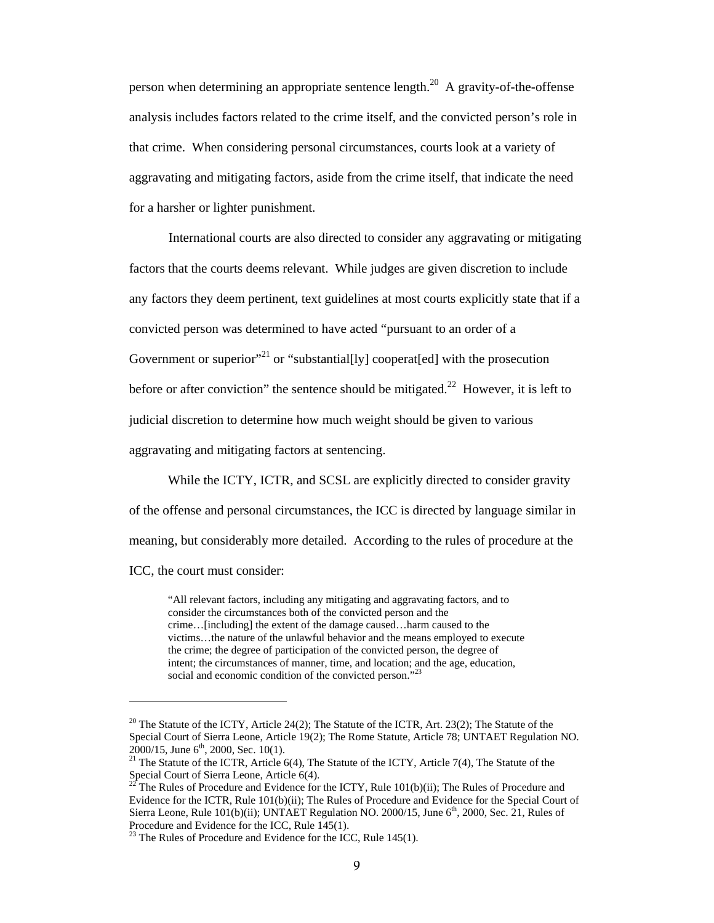person when determining an appropriate sentence length.<sup>20</sup> A gravity-of-the-offense analysis includes factors related to the crime itself, and the convicted person's role in that crime. When considering personal circumstances, courts look at a variety of aggravating and mitigating factors, aside from the crime itself, that indicate the need for a harsher or lighter punishment.

International courts are also directed to consider any aggravating or mitigating factors that the courts deems relevant. While judges are given discretion to include any factors they deem pertinent, text guidelines at most courts explicitly state that if a convicted person was determined to have acted "pursuant to an order of a Government or superior<sup>"21</sup> or "substantial [ly] cooperat [ed] with the prosecution before or after conviction" the sentence should be mitigated.<sup>22</sup> However, it is left to judicial discretion to determine how much weight should be given to various aggravating and mitigating factors at sentencing.

While the ICTY, ICTR, and SCSL are explicitly directed to consider gravity

of the offense and personal circumstances, the ICC is directed by language similar in

meaning, but considerably more detailed. According to the rules of procedure at the

ICC, the court must consider:

 $\overline{a}$ 

"All relevant factors, including any mitigating and aggravating factors, and to consider the circumstances both of the convicted person and the crime…[including] the extent of the damage caused…harm caused to the victims…the nature of the unlawful behavior and the means employed to execute the crime; the degree of participation of the convicted person, the degree of intent; the circumstances of manner, time, and location; and the age, education, social and economic condition of the convicted person."<sup>23</sup>

 $20$  The Statute of the ICTY, Article 24(2); The Statute of the ICTR, Art. 23(2); The Statute of the Special Court of Sierra Leone, Article 19(2); The Rome Statute, Article 78; UNTAET Regulation NO. 2000/15, June 6<sup>th</sup>, 2000, Sec. 10(1).

<sup>&</sup>lt;sup>21</sup> The Statute of the ICTR, Article 6(4), The Statute of the ICTY, Article 7(4), The Statute of the Special Court of Sierra Leone, Article 6(4).

<sup>&</sup>lt;sup>22</sup> The Rules of Procedure and Evidence for the ICTY, Rule  $101(b)(ii)$ ; The Rules of Procedure and Evidence for the ICTR, Rule 101(b)(ii); The Rules of Procedure and Evidence for the Special Court of Sierra Leone, Rule 101(b)(ii); UNTAET Regulation NO. 2000/15, June  $6<sup>th</sup>$ , 2000, Sec. 21, Rules of Procedure and Evidence for the ICC, Rule 145(1).

 $23$  The Rules of Procedure and Evidence for the ICC, Rule 145(1).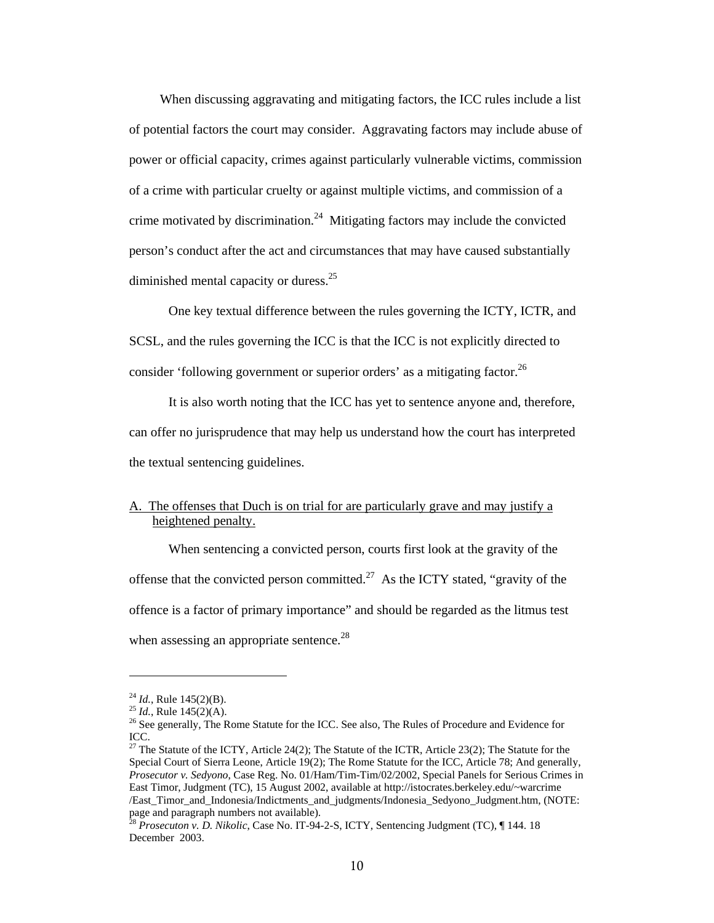When discussing aggravating and mitigating factors, the ICC rules include a list of potential factors the court may consider. Aggravating factors may include abuse of power or official capacity, crimes against particularly vulnerable victims, commission of a crime with particular cruelty or against multiple victims, and commission of a crime motivated by discrimination.<sup>24</sup> Mitigating factors may include the convicted person's conduct after the act and circumstances that may have caused substantially diminished mental capacity or duress.<sup>25</sup>

 One key textual difference between the rules governing the ICTY, ICTR, and SCSL, and the rules governing the ICC is that the ICC is not explicitly directed to consider 'following government or superior orders' as a mitigating factor.<sup>26</sup>

 It is also worth noting that the ICC has yet to sentence anyone and, therefore, can offer no jurisprudence that may help us understand how the court has interpreted the textual sentencing guidelines.

# A. The offenses that Duch is on trial for are particularly grave and may justify a heightened penalty.

When sentencing a convicted person, courts first look at the gravity of the offense that the convicted person committed.<sup>27</sup> As the ICTY stated, "gravity of the offence is a factor of primary importance" and should be regarded as the litmus test when assessing an appropriate sentence.<sup>28</sup>

<sup>&</sup>lt;sup>24</sup> *Id.*, Rule 145(2)(B).<br><sup>25</sup> *Id.*, Rule 145(2)(A).<br><sup>26</sup> See generally, The Rome Statute for the ICC. See also, The Rules of Procedure and Evidence for ICC.

<sup>&</sup>lt;sup>27</sup> The Statute of the ICTY, Article 24(2); The Statute of the ICTR, Article 23(2); The Statute for the Special Court of Sierra Leone, Article 19(2); The Rome Statute for the ICC, Article 78; And generally, *Prosecutor v. Sedyono*, Case Reg. No. 01/Ham/Tim-Tim/02/2002, Special Panels for Serious Crimes in East Timor, Judgment (TC), 15 August 2002, available at http://istocrates.berkeley.edu/~warcrime /East\_Timor\_and\_Indonesia/Indictments\_and\_judgments/Indonesia\_Sedyono\_Judgment.htm, (NOTE: page and paragraph numbers not available).

<sup>28</sup> *Prosecuton v. D. Nikolic*, Case No. IT-94-2-S, ICTY, Sentencing Judgment (TC), ¶ 144. 18 December 2003.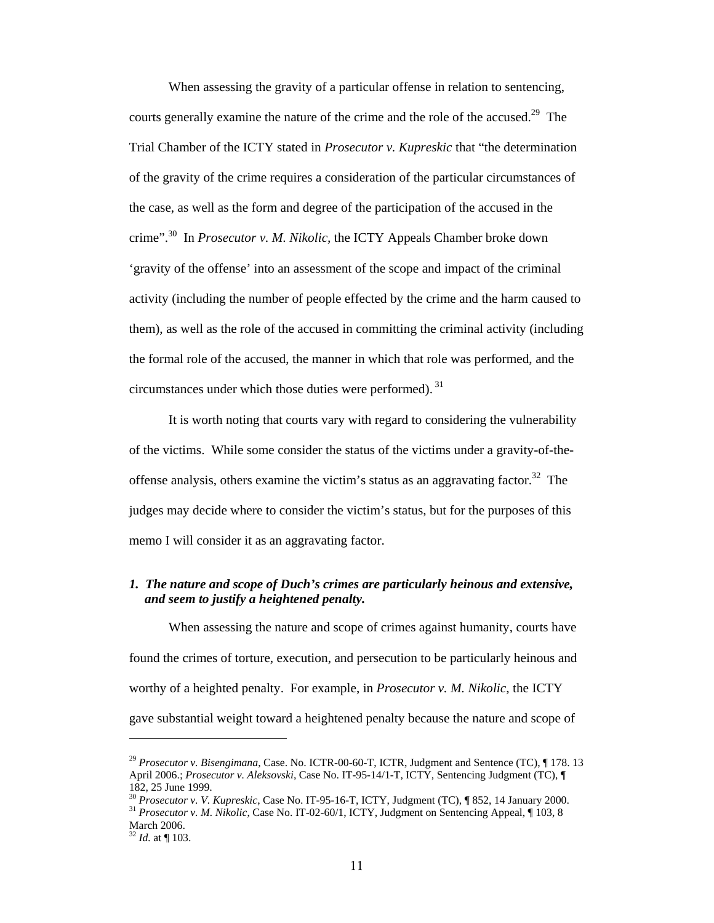When assessing the gravity of a particular offense in relation to sentencing, courts generally examine the nature of the crime and the role of the accused.<sup>29</sup> The Trial Chamber of the ICTY stated in *Prosecutor v. Kupreskic* that "the determination of the gravity of the crime requires a consideration of the particular circumstances of the case, as well as the form and degree of the participation of the accused in the crime".30 In *Prosecutor v. M. Nikolic,* the ICTY Appeals Chamber broke down 'gravity of the offense' into an assessment of the scope and impact of the criminal activity (including the number of people effected by the crime and the harm caused to them), as well as the role of the accused in committing the criminal activity (including the formal role of the accused, the manner in which that role was performed, and the circumstances under which those duties were performed). 31

It is worth noting that courts vary with regard to considering the vulnerability of the victims. While some consider the status of the victims under a gravity-of-theoffense analysis, others examine the victim's status as an aggravating factor.<sup>32</sup> The judges may decide where to consider the victim's status, but for the purposes of this memo I will consider it as an aggravating factor.

# *1. The nature and scope of Duch's crimes are particularly heinous and extensive, and seem to justify a heightened penalty.*

When assessing the nature and scope of crimes against humanity, courts have found the crimes of torture, execution, and persecution to be particularly heinous and worthy of a heighted penalty. For example, in *Prosecutor v. M. Nikolic*, the ICTY gave substantial weight toward a heightened penalty because the nature and scope of

<sup>29</sup> *Prosecutor v. Bisengimana*, Case. No. ICTR-00-60-T, ICTR, Judgment and Sentence (TC), ¶ 178. 13 April 2006.; *Prosecutor v. Aleksovski*, Case No. IT-95-14/1-T, ICTY, Sentencing Judgment (TC), ¶ 182, 25 June 1999.<br>
<sup>30</sup> *Prosecutor v. V. Kupreskic*, Case No. IT-95-16-T, ICTY, Judgment (TC), ¶ 852, 14 January 2000.

<sup>&</sup>lt;sup>31</sup> Prosecutor v. M. Nikolic, Case No. IT-02-60/1, ICTY, Judgment on Sentencing Appeal, ¶ 103, 8 March 2006.

 $3^2$  *Id.* at  $\P$  103.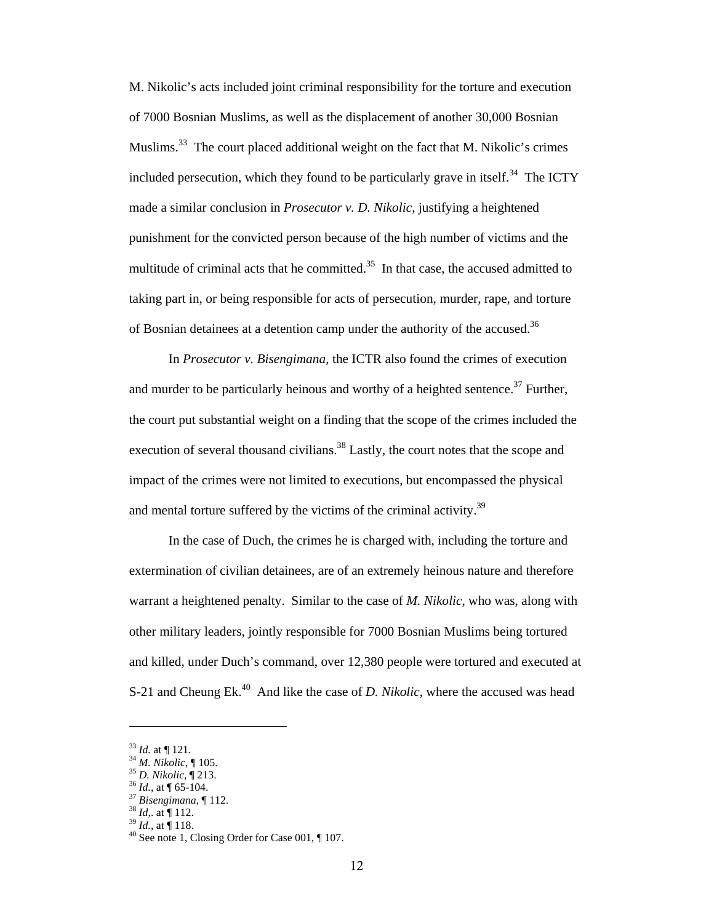M. Nikolic's acts included joint criminal responsibility for the torture and execution of 7000 Bosnian Muslims, as well as the displacement of another 30,000 Bosnian Muslims.<sup>33</sup> The court placed additional weight on the fact that M. Nikolic's crimes included persecution, which they found to be particularly grave in itself.<sup>34</sup> The ICTY made a similar conclusion in *Prosecutor v. D. Nikolic*, justifying a heightened punishment for the convicted person because of the high number of victims and the multitude of criminal acts that he committed. $35$  In that case, the accused admitted to taking part in, or being responsible for acts of persecution, murder, rape, and torture of Bosnian detainees at a detention camp under the authority of the accused.<sup>36</sup>

In *Prosecutor v. Bisengimana*, the ICTR also found the crimes of execution and murder to be particularly heinous and worthy of a heighted sentence.<sup>37</sup> Further, the court put substantial weight on a finding that the scope of the crimes included the execution of several thousand civilians.<sup>38</sup> Lastly, the court notes that the scope and impact of the crimes were not limited to executions, but encompassed the physical and mental torture suffered by the victims of the criminal activity.<sup>39</sup>

In the case of Duch, the crimes he is charged with, including the torture and extermination of civilian detainees, are of an extremely heinous nature and therefore warrant a heightened penalty. Similar to the case of *M. Nikolic*, who was, along with other military leaders, jointly responsible for 7000 Bosnian Muslims being tortured and killed, under Duch's command, over 12,380 people were tortured and executed at S-21 and Cheung Ek.<sup>40</sup> And like the case of *D. Nikolic*, where the accused was head

<sup>&</sup>lt;sup>33</sup> *Id.* at  $\P$  121.<br><sup>34</sup> *M. Nikolic*,  $\P$  105.<br><sup>35</sup> *D. Nikolic*,  $\P$  213.<br><sup>36</sup> *Id.*, at  $\P$  65-104.<br><sup>37</sup> *Bisengimana*,  $\P$  112.<br><sup>38</sup> *Id.*, at  $\P$  112.<br><sup>38</sup> *Id.*, at  $\P$  118.<br><sup>40</sup> See note 1, Closing Order for Cas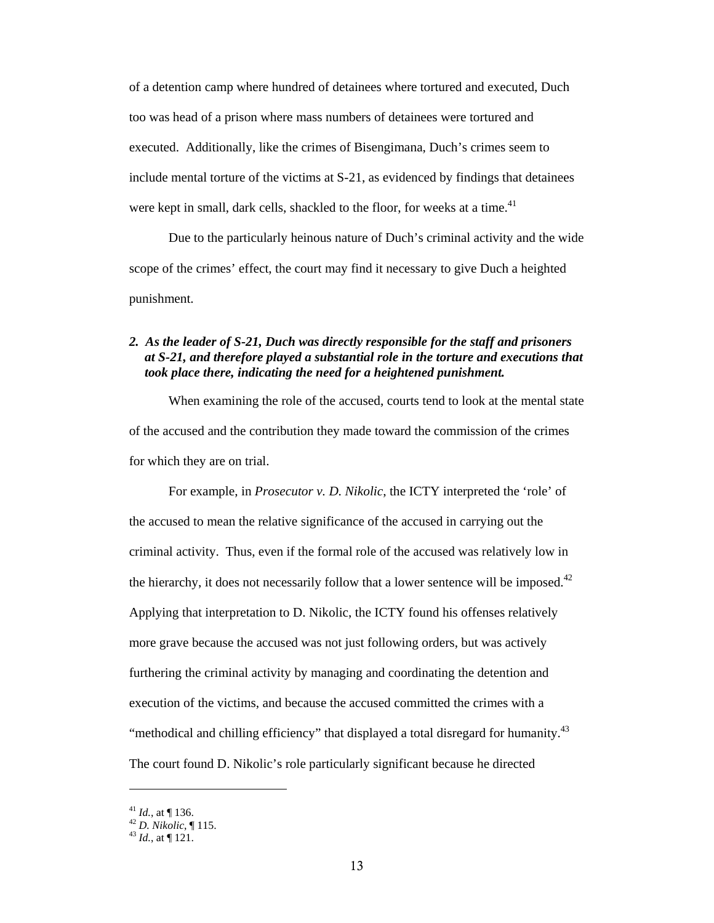of a detention camp where hundred of detainees where tortured and executed, Duch too was head of a prison where mass numbers of detainees were tortured and executed. Additionally, like the crimes of Bisengimana, Duch's crimes seem to include mental torture of the victims at S-21, as evidenced by findings that detainees were kept in small, dark cells, shackled to the floor, for weeks at a time.<sup>41</sup>

Due to the particularly heinous nature of Duch's criminal activity and the wide scope of the crimes' effect, the court may find it necessary to give Duch a heighted punishment.

## *2. As the leader of S-21, Duch was directly responsible for the staff and prisoners at S-21, and therefore played a substantial role in the torture and executions that took place there, indicating the need for a heightened punishment.*

When examining the role of the accused, courts tend to look at the mental state of the accused and the contribution they made toward the commission of the crimes for which they are on trial.

For example, in *Prosecutor v. D. Nikolic*, the ICTY interpreted the 'role' of the accused to mean the relative significance of the accused in carrying out the criminal activity. Thus, even if the formal role of the accused was relatively low in the hierarchy, it does not necessarily follow that a lower sentence will be imposed. $42$ Applying that interpretation to D. Nikolic, the ICTY found his offenses relatively more grave because the accused was not just following orders, but was actively furthering the criminal activity by managing and coordinating the detention and execution of the victims, and because the accused committed the crimes with a "methodical and chilling efficiency" that displayed a total disregard for humanity.<sup>43</sup> The court found D. Nikolic's role particularly significant because he directed

<sup>41</sup> *Id.*, at ¶ 136. 42 *D. Nikolic*, ¶ 115. 43 *Id.*, at ¶ 121.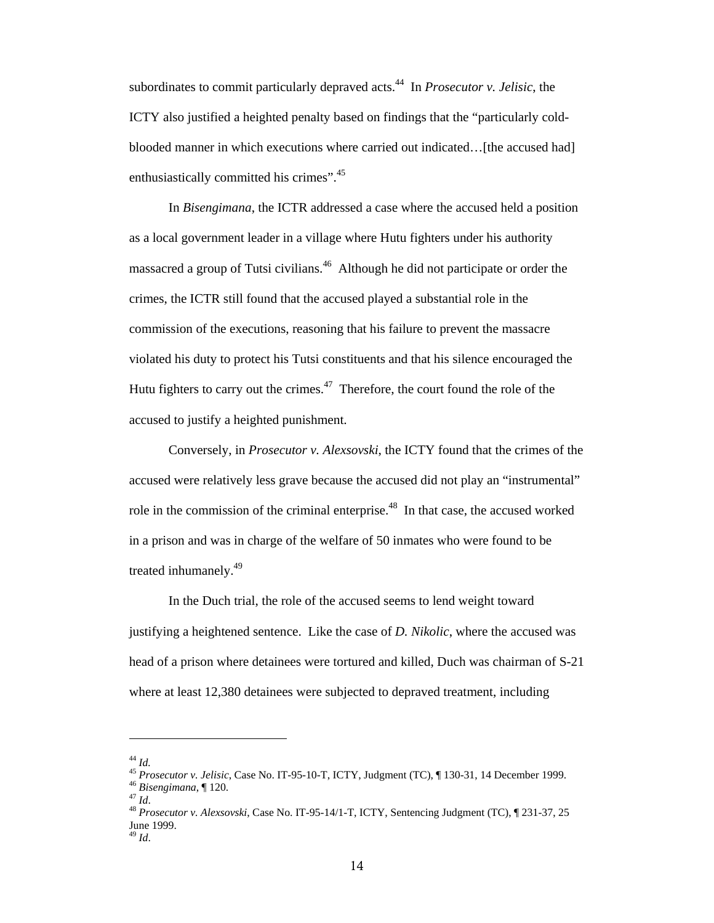subordinates to commit particularly depraved acts.44 In *Prosecutor v. Jelisic*, the ICTY also justified a heighted penalty based on findings that the "particularly coldblooded manner in which executions where carried out indicated...[the accused had] enthusiastically committed his crimes".<sup>45</sup>

In *Bisengimana*, the ICTR addressed a case where the accused held a position as a local government leader in a village where Hutu fighters under his authority massacred a group of Tutsi civilians.<sup>46</sup> Although he did not participate or order the crimes, the ICTR still found that the accused played a substantial role in the commission of the executions, reasoning that his failure to prevent the massacre violated his duty to protect his Tutsi constituents and that his silence encouraged the Hutu fighters to carry out the crimes. $47$  Therefore, the court found the role of the accused to justify a heighted punishment.

Conversely, in *Prosecutor v. Alexsovski*, the ICTY found that the crimes of the accused were relatively less grave because the accused did not play an "instrumental" role in the commission of the criminal enterprise.<sup>48</sup> In that case, the accused worked in a prison and was in charge of the welfare of 50 inmates who were found to be treated inhumanely.49

In the Duch trial, the role of the accused seems to lend weight toward justifying a heightened sentence. Like the case of *D. Nikolic*, where the accused was head of a prison where detainees were tortured and killed, Duch was chairman of S-21 where at least 12,380 detainees were subjected to depraved treatment, including

<sup>&</sup>lt;sup>44</sup> Id.<br><sup>45</sup> Prosecutor v. Jelisic, Case No. IT-95-10-T, ICTY, Judgment (TC),  $\P$  130-31, 14 December 1999.<br><sup>46</sup> Bisengimana,  $\P$  120.<br><sup>47</sup> Id.<br><sup>48</sup> Prosecutor v. Alexsovski, Case No. IT-95-14/1-T, ICTY, Sentencing Judgm

June 1999.

<sup>49</sup> *Id*.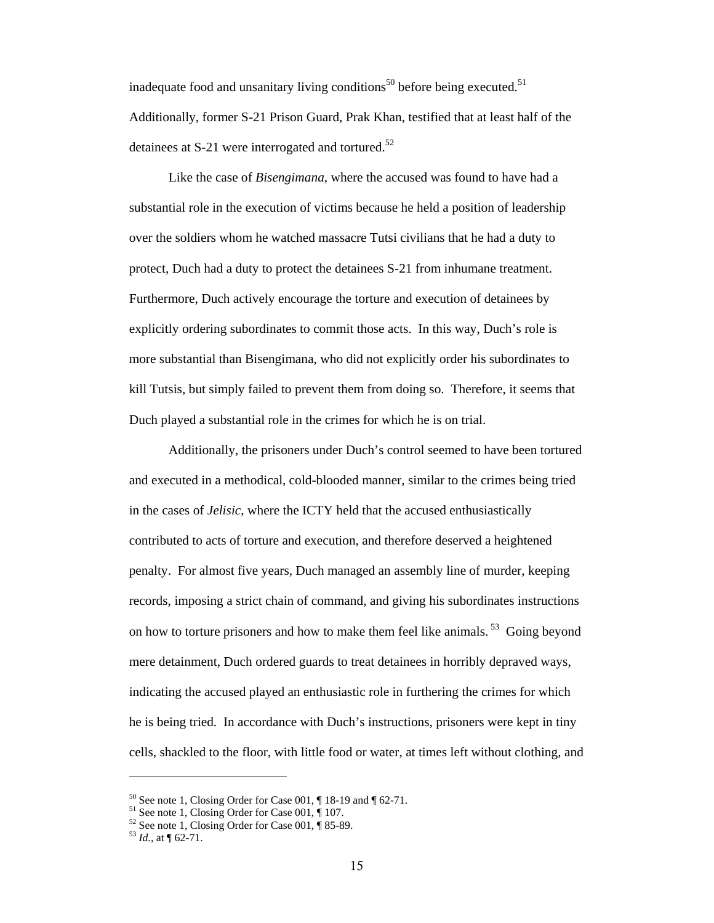inadequate food and unsanitary living conditions<sup>50</sup> before being executed.<sup>51</sup> Additionally, former S-21 Prison Guard, Prak Khan, testified that at least half of the detainees at S-21 were interrogated and tortured.<sup>52</sup>

Like the case of *Bisengimana*, where the accused was found to have had a substantial role in the execution of victims because he held a position of leadership over the soldiers whom he watched massacre Tutsi civilians that he had a duty to protect, Duch had a duty to protect the detainees S-21 from inhumane treatment. Furthermore, Duch actively encourage the torture and execution of detainees by explicitly ordering subordinates to commit those acts. In this way, Duch's role is more substantial than Bisengimana, who did not explicitly order his subordinates to kill Tutsis, but simply failed to prevent them from doing so. Therefore, it seems that Duch played a substantial role in the crimes for which he is on trial.

Additionally, the prisoners under Duch's control seemed to have been tortured and executed in a methodical, cold-blooded manner, similar to the crimes being tried in the cases of *Jelisic*, where the ICTY held that the accused enthusiastically contributed to acts of torture and execution, and therefore deserved a heightened penalty. For almost five years, Duch managed an assembly line of murder, keeping records, imposing a strict chain of command, and giving his subordinates instructions on how to torture prisoners and how to make them feel like animals.<sup>53</sup> Going beyond mere detainment, Duch ordered guards to treat detainees in horribly depraved ways, indicating the accused played an enthusiastic role in furthering the crimes for which he is being tried. In accordance with Duch's instructions, prisoners were kept in tiny cells, shackled to the floor, with little food or water, at times left without clothing, and

 $50$  See note 1, Closing Order for Case 001,  $\P$  18-19 and  $\P$  62-71.

 $51$  See note 1, Closing Order for Case 001,  $\parallel$  107.

 $52$  See note 1, Closing Order for Case 001,  $\frac{1}{3}$  85-89.

 $^{53}$  *Id.*, at  $\P$  62-71.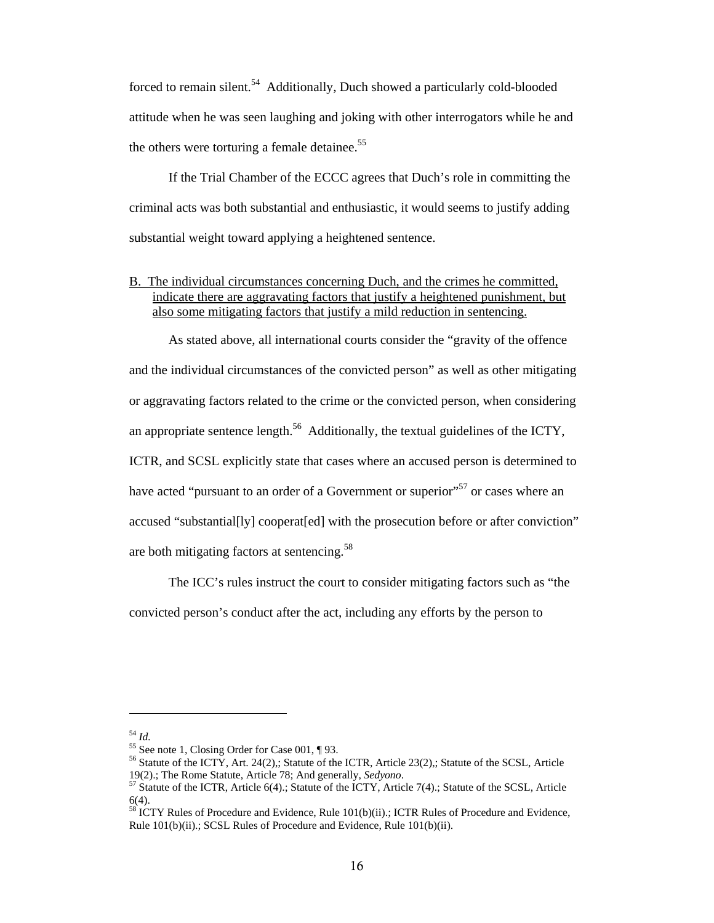forced to remain silent.<sup>54</sup> Additionally, Duch showed a particularly cold-blooded attitude when he was seen laughing and joking with other interrogators while he and the others were torturing a female detainee.<sup>55</sup>

If the Trial Chamber of the ECCC agrees that Duch's role in committing the criminal acts was both substantial and enthusiastic, it would seems to justify adding substantial weight toward applying a heightened sentence.

B. The individual circumstances concerning Duch, and the crimes he committed, indicate there are aggravating factors that justify a heightened punishment, but also some mitigating factors that justify a mild reduction in sentencing.

As stated above, all international courts consider the "gravity of the offence and the individual circumstances of the convicted person" as well as other mitigating or aggravating factors related to the crime or the convicted person, when considering an appropriate sentence length.<sup>56</sup> Additionally, the textual guidelines of the ICTY, ICTR, and SCSL explicitly state that cases where an accused person is determined to have acted "pursuant to an order of a Government or superior"<sup>57</sup> or cases where an accused "substantial[ly] cooperat[ed] with the prosecution before or after conviction" are both mitigating factors at sentencing.<sup>58</sup>

The ICC's rules instruct the court to consider mitigating factors such as "the convicted person's conduct after the act, including any efforts by the person to

<sup>&</sup>lt;sup>54</sup> *Id.* 55 See note 1, Closing Order for Case 001,  $\P$ 93.

<sup>&</sup>lt;sup>56</sup> Statute of the ICTY, Art. 24(2),; Statute of the ICTR, Article 23(2),; Statute of the SCSL, Article 19(2).; The Rome Statute, Article 78; And generally, *Sedyono*. 57 Statute of the ICTR, Article 6(4).; Statute of the ICTY, Article 7(4).; Statute of the SCSL, Article

<sup>6(4).</sup> 

 $58$  ICTY Rules of Procedure and Evidence, Rule  $101(b)(ii)$ .; ICTR Rules of Procedure and Evidence, Rule 101(b)(ii).; SCSL Rules of Procedure and Evidence, Rule 101(b)(ii).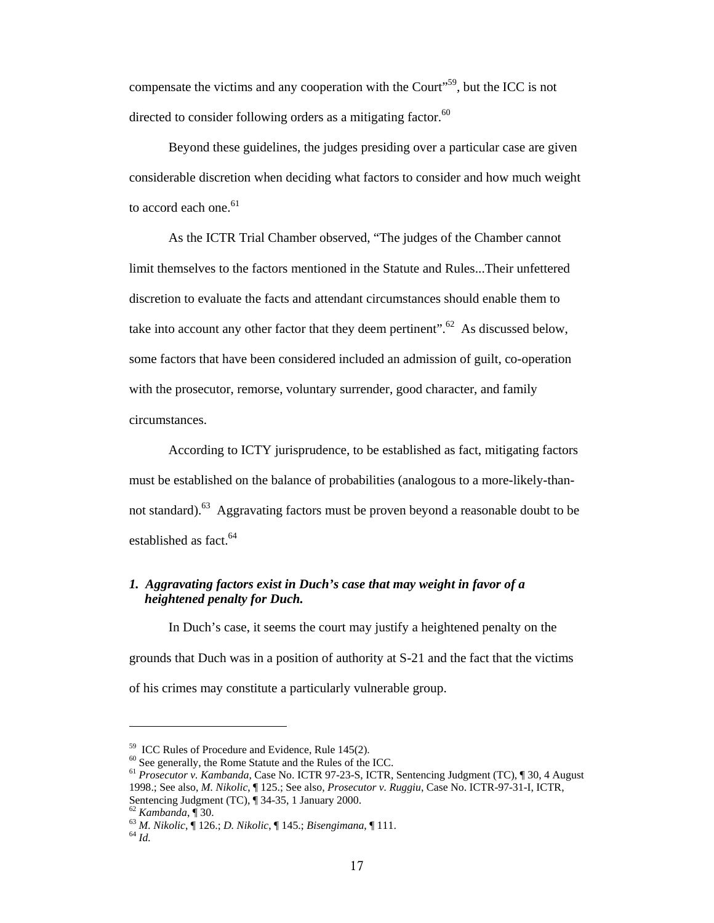compensate the victims and any cooperation with the Court<sup>559</sup>, but the ICC is not directed to consider following orders as a mitigating factor.<sup>60</sup>

Beyond these guidelines, the judges presiding over a particular case are given considerable discretion when deciding what factors to consider and how much weight to accord each one. $61$ 

As the ICTR Trial Chamber observed, "The judges of the Chamber cannot limit themselves to the factors mentioned in the Statute and Rules...Their unfettered discretion to evaluate the facts and attendant circumstances should enable them to take into account any other factor that they deem pertinent".<sup>62</sup> As discussed below, some factors that have been considered included an admission of guilt, co-operation with the prosecutor, remorse, voluntary surrender, good character, and family circumstances.

According to ICTY jurisprudence, to be established as fact, mitigating factors must be established on the balance of probabilities (analogous to a more-likely-thannot standard).<sup>63</sup> Aggravating factors must be proven beyond a reasonable doubt to be established as fact.<sup>64</sup>

# *1. Aggravating factors exist in Duch's case that may weight in favor of a heightened penalty for Duch.*

In Duch's case, it seems the court may justify a heightened penalty on the grounds that Duch was in a position of authority at S-21 and the fact that the victims of his crimes may constitute a particularly vulnerable group.

<sup>59</sup> ICC Rules of Procedure and Evidence, Rule 145(2).

<sup>60</sup> See generally, the Rome Statute and the Rules of the ICC.

<sup>61</sup> *Prosecutor v. Kambanda*, Case No. ICTR 97-23-S, ICTR, Sentencing Judgment (TC), ¶ 30, 4 August 1998.; See also, *M. Nikolic*, ¶ 125.; See also, *Prosecutor v. Ruggiu*, Case No. ICTR-97-31-I, ICTR, Sentencing Judgment (TC),  $\P$  34-35, 1 January 2000.<br>  $^{62}$  Kambanda,  $\P$  30.

<sup>62</sup> *Kambanda*, ¶ 30. 63 *M. Nikolic*, ¶ 126.; *D. Nikolic*, ¶ 145.; *Bisengimana*, ¶ 111. 64 *Id.*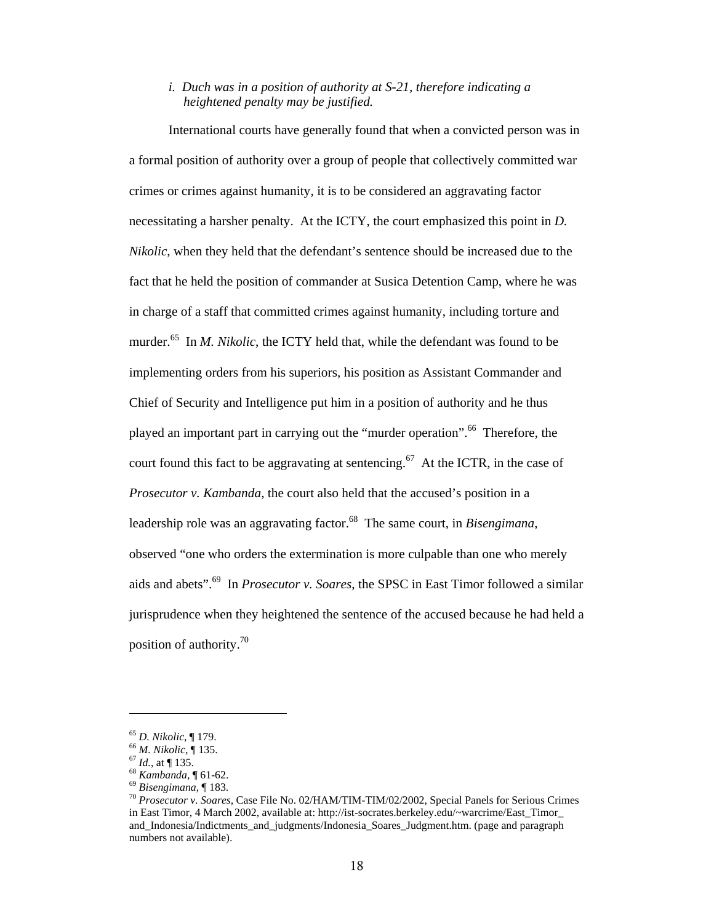## *i. Duch was in a position of authority at S-21, therefore indicating a heightened penalty may be justified.*

International courts have generally found that when a convicted person was in a formal position of authority over a group of people that collectively committed war crimes or crimes against humanity, it is to be considered an aggravating factor necessitating a harsher penalty. At the ICTY, the court emphasized this point in *D. Nikolic*, when they held that the defendant's sentence should be increased due to the fact that he held the position of commander at Susica Detention Camp, where he was in charge of a staff that committed crimes against humanity, including torture and murder.<sup>65</sup> In *M. Nikolic*, the ICTY held that, while the defendant was found to be implementing orders from his superiors, his position as Assistant Commander and Chief of Security and Intelligence put him in a position of authority and he thus played an important part in carrying out the "murder operation".<sup>66</sup> Therefore, the court found this fact to be aggravating at sentencing.<sup>67</sup> At the ICTR, in the case of *Prosecutor v. Kambanda*, the court also held that the accused's position in a leadership role was an aggravating factor.<sup>68</sup> The same court, in *Bisengimana*, observed "one who orders the extermination is more culpable than one who merely aids and abets".69 In *Prosecutor v. Soares*, the SPSC in East Timor followed a similar jurisprudence when they heightened the sentence of the accused because he had held a position of authority.70

<sup>&</sup>lt;sup>65</sup> D. Nikolic, ¶ 179.<br>
<sup>66</sup> M. Nikolic, ¶ 135.<br>
<sup>67</sup> Id., at ¶ 135.<br>
<sup>68</sup> Kambanda, ¶ 61-62.<br>
<sup>69</sup> Bisengimana, ¶ 183.<br>
<sup>69</sup> Bisengimana, ¶ 183.<br>
<sup>70</sup> Prosecutor v. Soares, Case File No. 02/HAM/TIM-TIM/02/2002, Special in East Timor, 4 March 2002, available at: http://ist-socrates.berkeley.edu/~warcrime/East\_Timor\_ and\_Indonesia/Indictments\_and\_judgments/Indonesia\_Soares\_Judgment.htm. (page and paragraph numbers not available).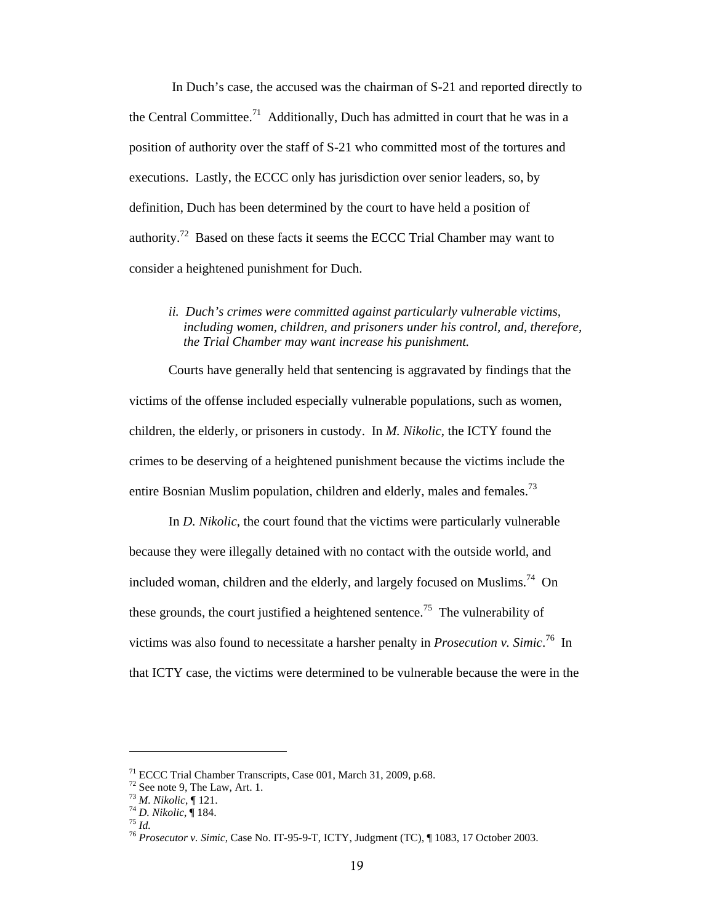In Duch's case, the accused was the chairman of S-21 and reported directly to the Central Committee.<sup>71</sup> Additionally, Duch has admitted in court that he was in a position of authority over the staff of S-21 who committed most of the tortures and executions. Lastly, the ECCC only has jurisdiction over senior leaders, so, by definition, Duch has been determined by the court to have held a position of authority.72 Based on these facts it seems the ECCC Trial Chamber may want to consider a heightened punishment for Duch.

#### *ii. Duch's crimes were committed against particularly vulnerable victims, including women, children, and prisoners under his control, and, therefore, the Trial Chamber may want increase his punishment.*

Courts have generally held that sentencing is aggravated by findings that the victims of the offense included especially vulnerable populations, such as women, children, the elderly, or prisoners in custody. In *M. Nikolic*, the ICTY found the crimes to be deserving of a heightened punishment because the victims include the entire Bosnian Muslim population, children and elderly, males and females.<sup>73</sup>

In *D. Nikolic*, the court found that the victims were particularly vulnerable because they were illegally detained with no contact with the outside world, and included woman, children and the elderly, and largely focused on Muslims.<sup>74</sup> On these grounds, the court justified a heightened sentence.<sup>75</sup> The vulnerability of victims was also found to necessitate a harsher penalty in *Prosecution v. Simic*. 76 In that ICTY case, the victims were determined to be vulnerable because the were in the

<sup>71</sup> ECCC Trial Chamber Transcripts, Case 001, March 31, 2009, p.68.

<sup>&</sup>lt;sup>72</sup> See note 9, The Law, Art. 1.<br><sup>73</sup> *M. Nikolic*, **[** 121.

<sup>73</sup> *M. Nikolic*, ¶ 121. 74 *D. Nikolic*, ¶ 184. 75 *Id.* <sup>76</sup> *Prosecutor v. Simic*, Case No. IT-95-9-T, ICTY, Judgment (TC), ¶ 1083, 17 October 2003.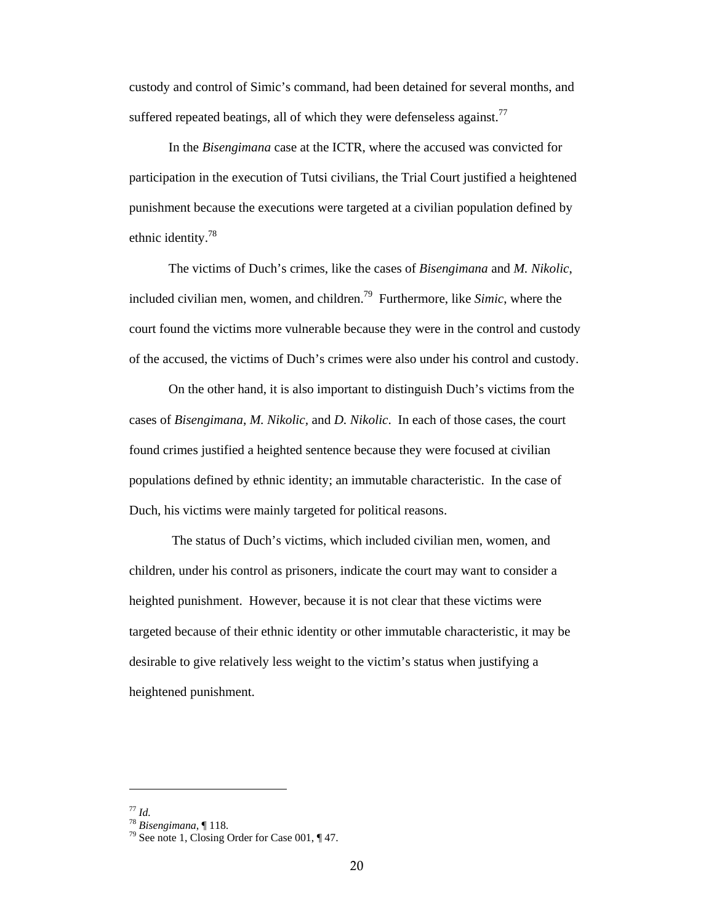custody and control of Simic's command, had been detained for several months, and suffered repeated beatings, all of which they were defenseless against.<sup>77</sup>

In the *Bisengimana* case at the ICTR, where the accused was convicted for participation in the execution of Tutsi civilians, the Trial Court justified a heightened punishment because the executions were targeted at a civilian population defined by ethnic identity.78

The victims of Duch's crimes, like the cases of *Bisengimana* and *M. Nikolic*, included civilian men, women, and children.79 Furthermore, like *Simic*, where the court found the victims more vulnerable because they were in the control and custody of the accused, the victims of Duch's crimes were also under his control and custody.

On the other hand, it is also important to distinguish Duch's victims from the cases of *Bisengimana*, *M. Nikolic,* and *D. Nikolic*. In each of those cases, the court found crimes justified a heighted sentence because they were focused at civilian populations defined by ethnic identity; an immutable characteristic. In the case of Duch, his victims were mainly targeted for political reasons.

 The status of Duch's victims, which included civilian men, women, and children, under his control as prisoners, indicate the court may want to consider a heighted punishment. However, because it is not clear that these victims were targeted because of their ethnic identity or other immutable characteristic, it may be desirable to give relatively less weight to the victim's status when justifying a heightened punishment.

<sup>77</sup> *Id.* <sup>78</sup> *Bisengimana*, ¶ 118. 79 See note 1, Closing Order for Case 001, ¶ 47.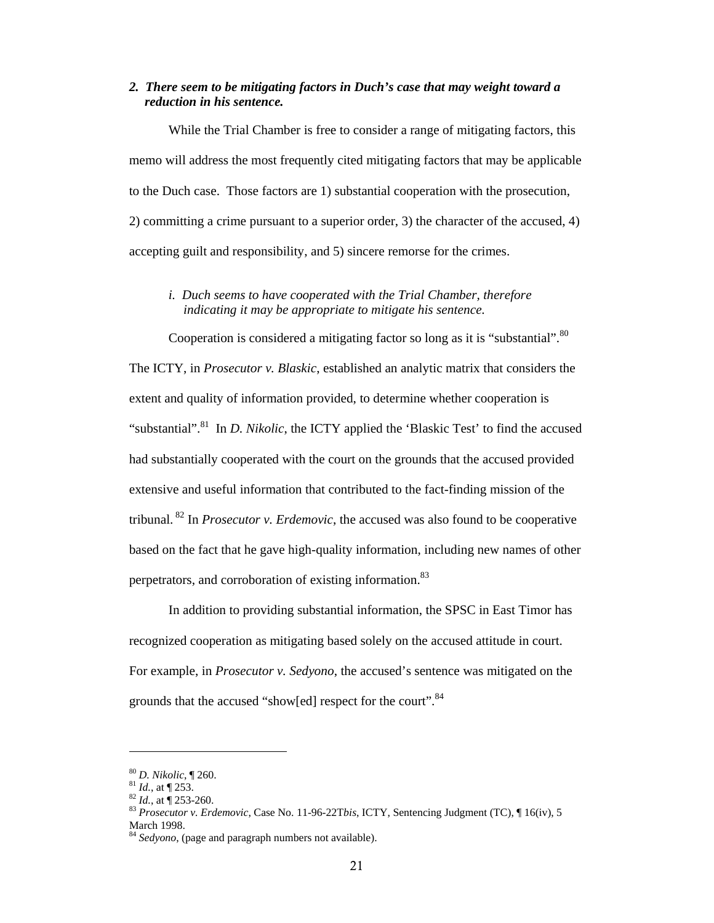## *2. There seem to be mitigating factors in Duch's case that may weight toward a reduction in his sentence.*

 While the Trial Chamber is free to consider a range of mitigating factors, this memo will address the most frequently cited mitigating factors that may be applicable to the Duch case. Those factors are 1) substantial cooperation with the prosecution, 2) committing a crime pursuant to a superior order, 3) the character of the accused, 4) accepting guilt and responsibility, and 5) sincere remorse for the crimes.

### *i. Duch seems to have cooperated with the Trial Chamber, therefore indicating it may be appropriate to mitigate his sentence.*

Cooperation is considered a mitigating factor so long as it is "substantial".<sup>80</sup> The ICTY, in *Prosecutor v. Blaskic*, established an analytic matrix that considers the extent and quality of information provided, to determine whether cooperation is "substantial".<sup>81</sup> In *D. Nikolic*, the ICTY applied the 'Blaskic Test' to find the accused had substantially cooperated with the court on the grounds that the accused provided extensive and useful information that contributed to the fact-finding mission of the tribunal. 82 In *Prosecutor v. Erdemovic*, the accused was also found to be cooperative based on the fact that he gave high-quality information, including new names of other perpetrators, and corroboration of existing information.<sup>83</sup>

In addition to providing substantial information, the SPSC in East Timor has recognized cooperation as mitigating based solely on the accused attitude in court. For example, in *Prosecutor v. Sedyono*, the accused's sentence was mitigated on the grounds that the accused "show[ed] respect for the court".<sup>84</sup>

<sup>80</sup> *D. Nikolic*, ¶ 260.<br>
81 *Id.*, at ¶ 253.<br>
82 *Id.*, at ¶ 253-260.<br>
83 *Prosecutor v. Erdemovic*, Case No. 11-96-22T*bis*, ICTY, Sentencing Judgment (TC), ¶ 16(iv), 5 March 1998.

<sup>&</sup>lt;sup>4</sup> Sedyono, (page and paragraph numbers not available).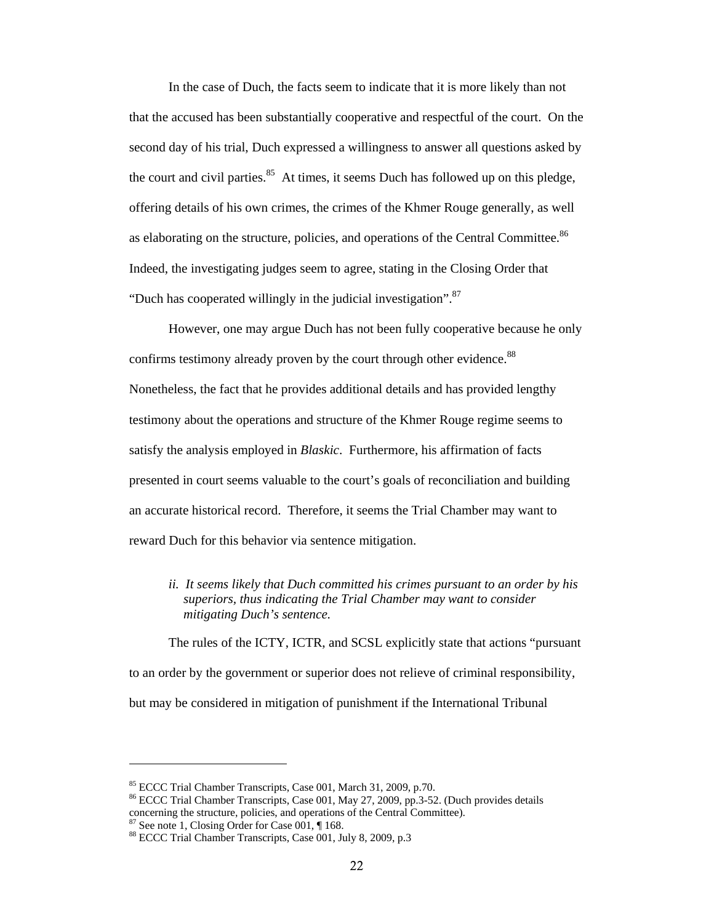In the case of Duch, the facts seem to indicate that it is more likely than not that the accused has been substantially cooperative and respectful of the court. On the second day of his trial, Duch expressed a willingness to answer all questions asked by the court and civil parties. $85$  At times, it seems Duch has followed up on this pledge, offering details of his own crimes, the crimes of the Khmer Rouge generally, as well as elaborating on the structure, policies, and operations of the Central Committee.<sup>86</sup> Indeed, the investigating judges seem to agree, stating in the Closing Order that "Duch has cooperated willingly in the judicial investigation".<sup>87</sup>

However, one may argue Duch has not been fully cooperative because he only confirms testimony already proven by the court through other evidence.<sup>88</sup> Nonetheless, the fact that he provides additional details and has provided lengthy testimony about the operations and structure of the Khmer Rouge regime seems to satisfy the analysis employed in *Blaskic*. Furthermore, his affirmation of facts presented in court seems valuable to the court's goals of reconciliation and building an accurate historical record. Therefore, it seems the Trial Chamber may want to reward Duch for this behavior via sentence mitigation.

*ii. It seems likely that Duch committed his crimes pursuant to an order by his superiors, thus indicating the Trial Chamber may want to consider mitigating Duch's sentence.* 

The rules of the ICTY, ICTR, and SCSL explicitly state that actions "pursuant to an order by the government or superior does not relieve of criminal responsibility, but may be considered in mitigation of punishment if the International Tribunal

<sup>85</sup> ECCC Trial Chamber Transcripts, Case 001, March 31, 2009, p.70.

<sup>86</sup> ECCC Trial Chamber Transcripts, Case 001, May 27, 2009, pp.3-52. (Duch provides details concerning the structure, policies, and operations of the Central Committee).

<sup>87</sup> See note 1, Closing Order for Case 001, ¶ 168.

<sup>88</sup> ECCC Trial Chamber Transcripts, Case 001, July 8, 2009, p.3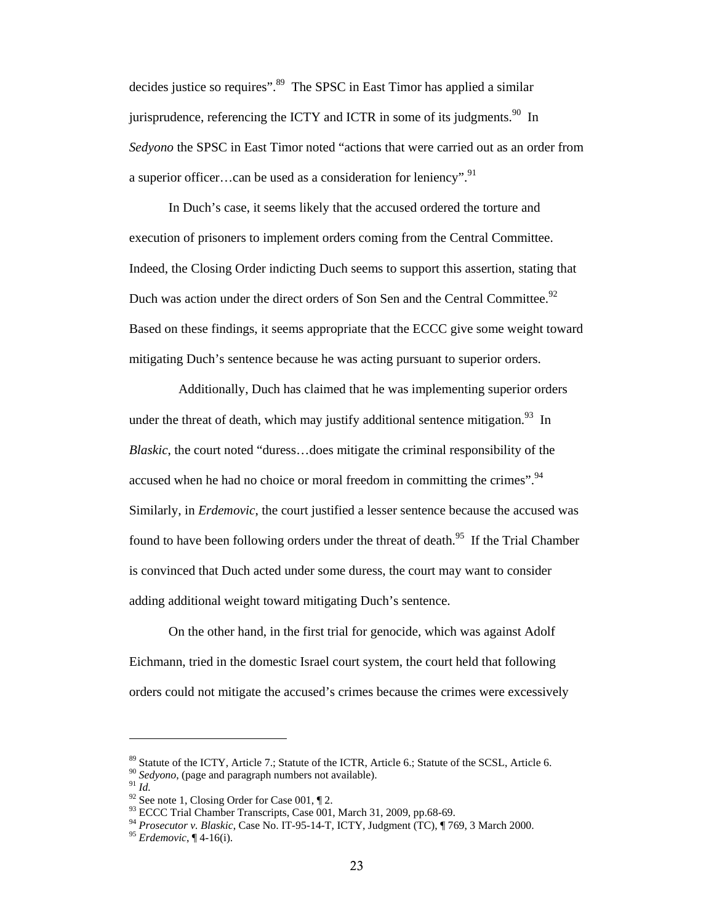decides justice so requires".<sup>89</sup> The SPSC in East Timor has applied a similar jurisprudence, referencing the ICTY and ICTR in some of its judgments.<sup>90</sup> In *Sedyono* the SPSC in East Timor noted "actions that were carried out as an order from a superior officer...can be used as a consideration for leniency".  $91$ 

In Duch's case, it seems likely that the accused ordered the torture and execution of prisoners to implement orders coming from the Central Committee. Indeed, the Closing Order indicting Duch seems to support this assertion, stating that Duch was action under the direct orders of Son Sen and the Central Committee.<sup>92</sup> Based on these findings, it seems appropriate that the ECCC give some weight toward mitigating Duch's sentence because he was acting pursuant to superior orders.

 Additionally, Duch has claimed that he was implementing superior orders under the threat of death, which may justify additional sentence mitigation.<sup>93</sup> In *Blaskic*, the court noted "duress…does mitigate the criminal responsibility of the accused when he had no choice or moral freedom in committing the crimes".<sup>94</sup> Similarly, in *Erdemovic*, the court justified a lesser sentence because the accused was found to have been following orders under the threat of death.<sup>95</sup> If the Trial Chamber is convinced that Duch acted under some duress, the court may want to consider adding additional weight toward mitigating Duch's sentence.

On the other hand, in the first trial for genocide, which was against Adolf Eichmann, tried in the domestic Israel court system, the court held that following orders could not mitigate the accused's crimes because the crimes were excessively

<sup>89</sup> Statute of the ICTY, Article 7.; Statute of the ICTR, Article 6.; Statute of the SCSL, Article 6.

<sup>&</sup>lt;sup>90</sup> *Sedyono*, (page and paragraph numbers not available).<br><sup>91</sup> *Id.* 92 See note 1, Closing Order for Case 001, ¶ 2.

<sup>93</sup> ECCC Trial Chamber Transcripts, Case 001, March 31, 2009, pp.68-69.

<sup>94</sup> *Prosecutor v. Blaskic*, Case No. IT-95-14-T, ICTY, Judgment (TC), ¶ 769, 3 March 2000. 95 *Erdemovic*, ¶ 4-16(i).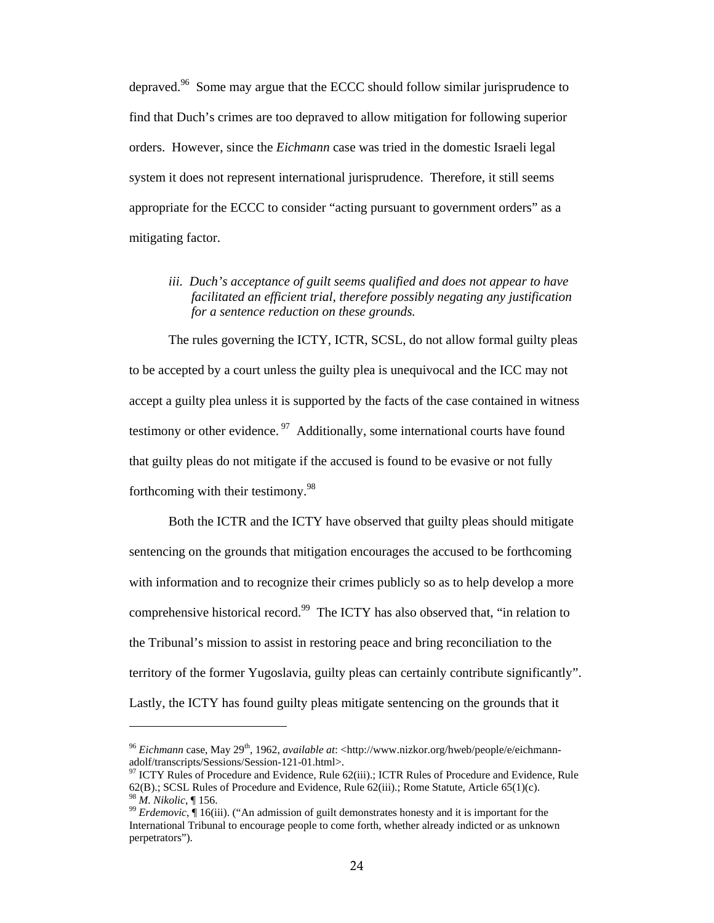depraved.<sup>96</sup> Some may argue that the ECCC should follow similar jurisprudence to find that Duch's crimes are too depraved to allow mitigation for following superior orders. However, since the *Eichmann* case was tried in the domestic Israeli legal system it does not represent international jurisprudence. Therefore, it still seems appropriate for the ECCC to consider "acting pursuant to government orders" as a mitigating factor.

*iii. Duch's acceptance of guilt seems qualified and does not appear to have facilitated an efficient trial, therefore possibly negating any justification for a sentence reduction on these grounds.* 

The rules governing the ICTY, ICTR, SCSL, do not allow formal guilty pleas to be accepted by a court unless the guilty plea is unequivocal and the ICC may not accept a guilty plea unless it is supported by the facts of the case contained in witness testimony or other evidence.  $97$  Additionally, some international courts have found that guilty pleas do not mitigate if the accused is found to be evasive or not fully forthcoming with their testimony.<sup>98</sup>

Both the ICTR and the ICTY have observed that guilty pleas should mitigate sentencing on the grounds that mitigation encourages the accused to be forthcoming with information and to recognize their crimes publicly so as to help develop a more comprehensive historical record.<sup>99</sup> The ICTY has also observed that, "in relation to the Tribunal's mission to assist in restoring peace and bring reconciliation to the territory of the former Yugoslavia, guilty pleas can certainly contribute significantly". Lastly, the ICTY has found guilty pleas mitigate sentencing on the grounds that it

<sup>&</sup>lt;sup>96</sup> *Eichmann* case, May 29<sup>th</sup>, 1962, *available at*: <http://www.nizkor.org/hweb/people/e/eichmann-adolf/transcripts/Sessions/Session-121-01.html>.

 $97$  ICTY Rules of Procedure and Evidence, Rule 62(iii).; ICTR Rules of Procedure and Evidence, Rule 62(B).; SCSL Rules of Procedure and Evidence, Rule 62(iii).; Rome Statute, Article 65(1)(c).

<sup>&</sup>lt;sup>98</sup> *M. Nikolic*, ¶ 156.<br><sup>99</sup> *Erdemovic*, ¶ 16(iii). ("An admission of guilt demonstrates honesty and it is important for the International Tribunal to encourage people to come forth, whether already indicted or as unknown perpetrators").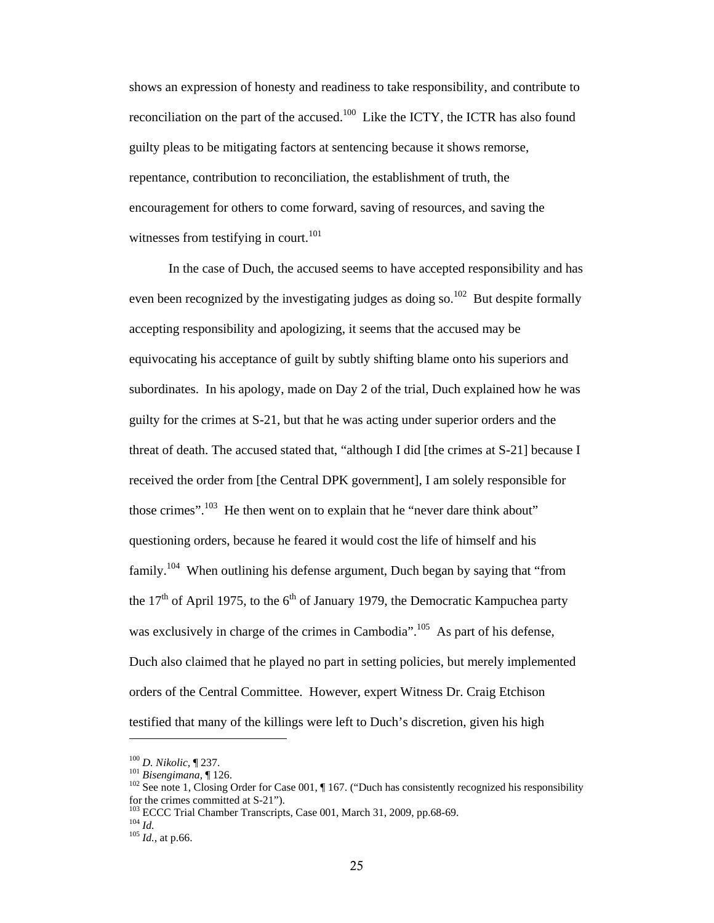shows an expression of honesty and readiness to take responsibility, and contribute to reconciliation on the part of the accused.<sup>100</sup> Like the ICTY, the ICTR has also found guilty pleas to be mitigating factors at sentencing because it shows remorse, repentance, contribution to reconciliation, the establishment of truth, the encouragement for others to come forward, saving of resources, and saving the witnesses from testifying in court. $101$ 

In the case of Duch, the accused seems to have accepted responsibility and has even been recognized by the investigating judges as doing so.<sup>102</sup> But despite formally accepting responsibility and apologizing, it seems that the accused may be equivocating his acceptance of guilt by subtly shifting blame onto his superiors and subordinates. In his apology, made on Day 2 of the trial, Duch explained how he was guilty for the crimes at S-21, but that he was acting under superior orders and the threat of death. The accused stated that, "although I did [the crimes at S-21] because I received the order from [the Central DPK government], I am solely responsible for those crimes".<sup>103</sup> He then went on to explain that he "never dare think about" questioning orders, because he feared it would cost the life of himself and his family.<sup>104</sup> When outlining his defense argument, Duch began by saying that "from the  $17<sup>th</sup>$  of April 1975, to the 6<sup>th</sup> of January 1979, the Democratic Kampuchea party was exclusively in charge of the crimes in Cambodia".<sup>105</sup> As part of his defense, Duch also claimed that he played no part in setting policies, but merely implemented orders of the Central Committee. However, expert Witness Dr. Craig Etchison testified that many of the killings were left to Duch's discretion, given his high

<sup>&</sup>lt;sup>100</sup> *D. Nikolic*, ¶ 237.<br><sup>101</sup> *Bisengimana*, ¶ 126.<br><sup>102</sup> See note 1, Closing Order for Case 001, ¶ 167. ("Duch has consistently recognized his responsibility for the crimes committed at S-21").

<sup>103</sup> ECCC Trial Chamber Transcripts, Case 001, March 31, 2009, pp.68-69. 104 *Id.* <sup>105</sup> *Id.*, at p.66.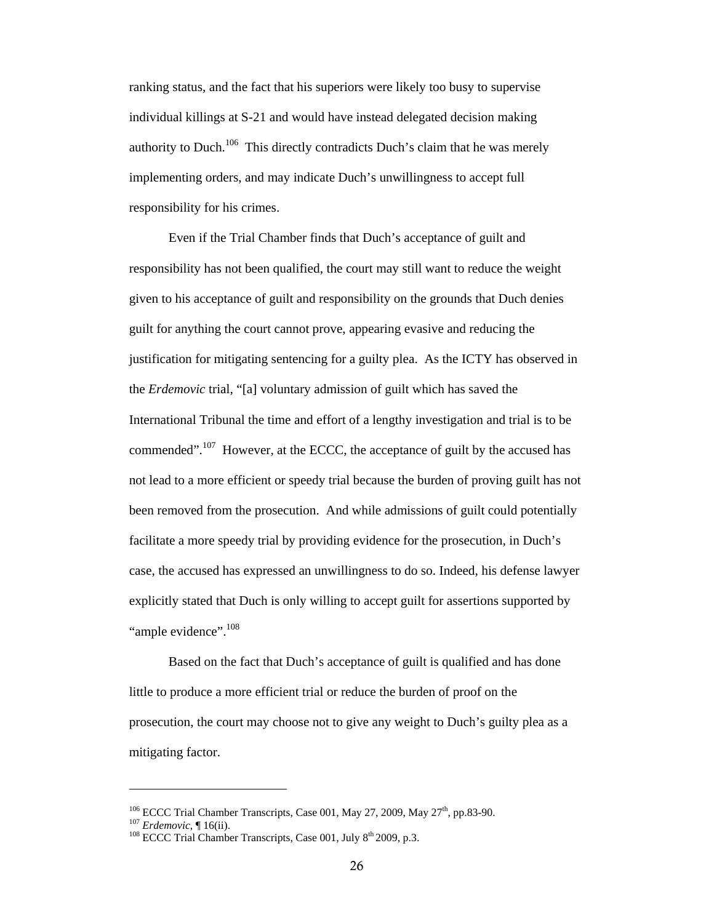ranking status, and the fact that his superiors were likely too busy to supervise individual killings at S-21 and would have instead delegated decision making authority to Duch.<sup>106</sup> This directly contradicts Duch's claim that he was merely implementing orders, and may indicate Duch's unwillingness to accept full responsibility for his crimes.

Even if the Trial Chamber finds that Duch's acceptance of guilt and responsibility has not been qualified, the court may still want to reduce the weight given to his acceptance of guilt and responsibility on the grounds that Duch denies guilt for anything the court cannot prove, appearing evasive and reducing the justification for mitigating sentencing for a guilty plea. As the ICTY has observed in the *Erdemovic* trial, "[a] voluntary admission of guilt which has saved the International Tribunal the time and effort of a lengthy investigation and trial is to be commended".<sup>107</sup> However, at the ECCC, the acceptance of guilt by the accused has not lead to a more efficient or speedy trial because the burden of proving guilt has not been removed from the prosecution. And while admissions of guilt could potentially facilitate a more speedy trial by providing evidence for the prosecution, in Duch's case, the accused has expressed an unwillingness to do so. Indeed, his defense lawyer explicitly stated that Duch is only willing to accept guilt for assertions supported by "ample evidence".<sup>108</sup>

Based on the fact that Duch's acceptance of guilt is qualified and has done little to produce a more efficient trial or reduce the burden of proof on the prosecution, the court may choose not to give any weight to Duch's guilty plea as a mitigating factor.

<sup>&</sup>lt;sup>106</sup> ECCC Trial Chamber Transcripts, Case 001, May 27, 2009, May 27<sup>th</sup>, pp.83-90.<br><sup>107</sup> *Erdemovic*, ¶ 16(ii). <sup>108</sup> ECCC Trial Chamber Transcripts, Case 001, July 8<sup>th</sup> 2009, p.3.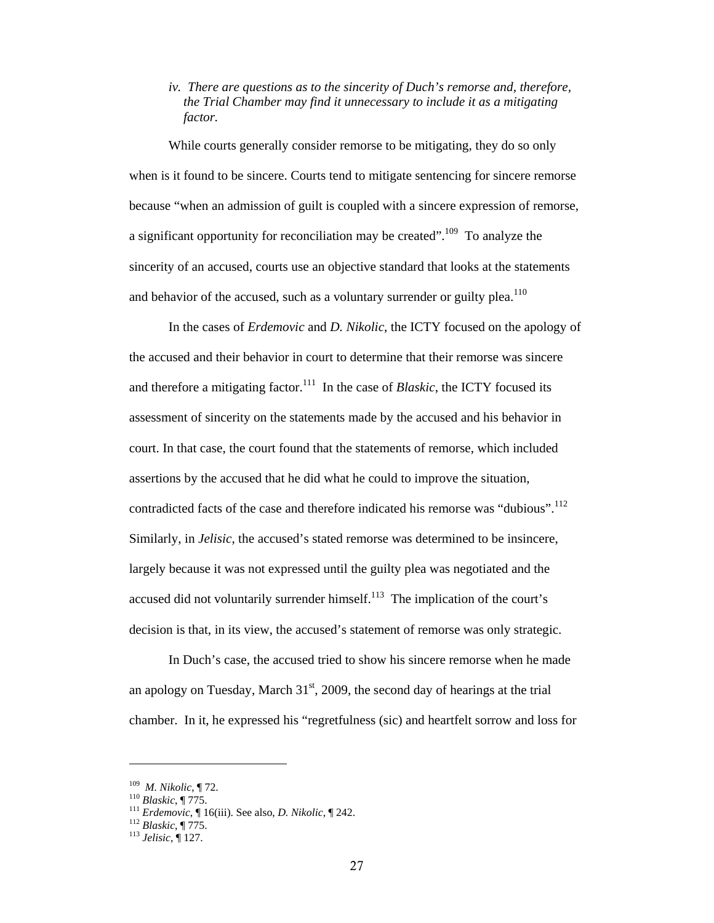# *iv. There are questions as to the sincerity of Duch's remorse and, therefore, the Trial Chamber may find it unnecessary to include it as a mitigating factor.*

While courts generally consider remorse to be mitigating, they do so only when is it found to be sincere. Courts tend to mitigate sentencing for sincere remorse because "when an admission of guilt is coupled with a sincere expression of remorse, a significant opportunity for reconciliation may be created".<sup>109</sup> To analyze the sincerity of an accused, courts use an objective standard that looks at the statements and behavior of the accused, such as a voluntary surrender or guilty plea.<sup>110</sup>

In the cases of *Erdemovic* and *D. Nikolic*, the ICTY focused on the apology of the accused and their behavior in court to determine that their remorse was sincere and therefore a mitigating factor.<sup>111</sup> In the case of *Blaskic*, the ICTY focused its assessment of sincerity on the statements made by the accused and his behavior in court. In that case, the court found that the statements of remorse, which included assertions by the accused that he did what he could to improve the situation, contradicted facts of the case and therefore indicated his remorse was "dubious".<sup>112</sup> Similarly, in *Jelisic*, the accused's stated remorse was determined to be insincere, largely because it was not expressed until the guilty plea was negotiated and the accused did not voluntarily surrender himself.<sup>113</sup> The implication of the court's decision is that, in its view, the accused's statement of remorse was only strategic.

In Duch's case, the accused tried to show his sincere remorse when he made an apology on Tuesday, March  $31<sup>st</sup>$ , 2009, the second day of hearings at the trial chamber. In it, he expressed his "regretfulness (sic) and heartfelt sorrow and loss for

<sup>&</sup>lt;sup>109</sup> *M. Nikolic*, ¶ 72.<br><sup>110</sup> *Blaskic*, ¶ 775.<br><sup>111</sup> *Erdemovic*, ¶ 16(iii). See also, *D. Nikolic*, ¶ 242.<br><sup>112</sup> *Blaskic*, ¶ 775.<br><sup>113</sup> *Jelisic*. ¶ 127.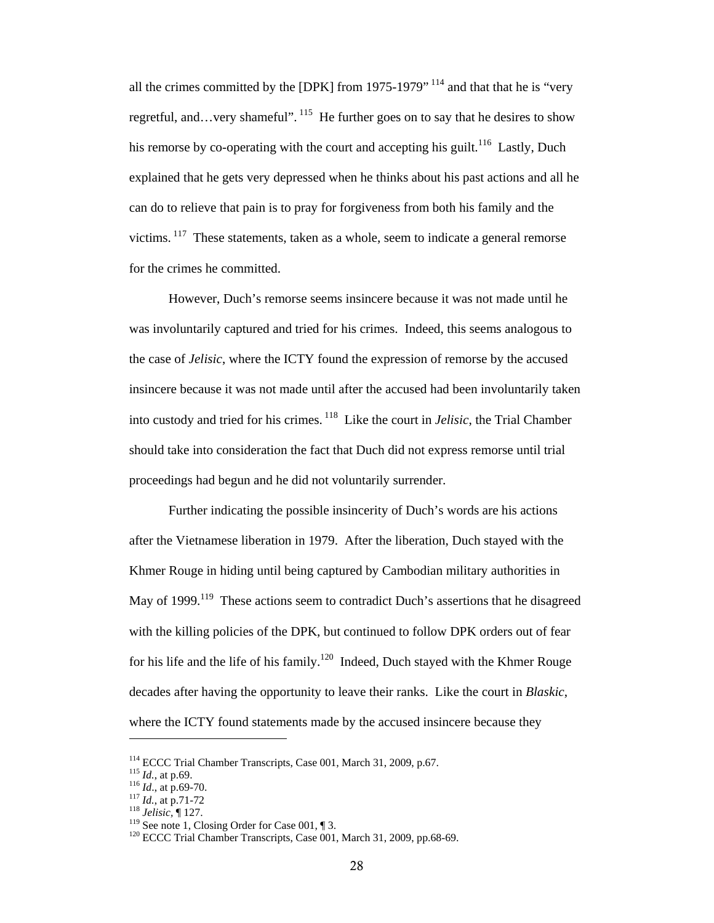all the crimes committed by the [DPK] from 1975-1979" 114 and that that he is "very regretful, and…very shameful". <sup>115</sup> He further goes on to say that he desires to show his remorse by co-operating with the court and accepting his guilt.<sup>116</sup> Lastly, Duch explained that he gets very depressed when he thinks about his past actions and all he can do to relieve that pain is to pray for forgiveness from both his family and the victims. 117 These statements, taken as a whole, seem to indicate a general remorse for the crimes he committed.

However, Duch's remorse seems insincere because it was not made until he was involuntarily captured and tried for his crimes. Indeed, this seems analogous to the case of *Jelisic*, where the ICTY found the expression of remorse by the accused insincere because it was not made until after the accused had been involuntarily taken into custody and tried for his crimes. 118 Like the court in *Jelisic*, the Trial Chamber should take into consideration the fact that Duch did not express remorse until trial proceedings had begun and he did not voluntarily surrender.

Further indicating the possible insincerity of Duch's words are his actions after the Vietnamese liberation in 1979. After the liberation, Duch stayed with the Khmer Rouge in hiding until being captured by Cambodian military authorities in May of 1999.<sup>119</sup> These actions seem to contradict Duch's assertions that he disagreed with the killing policies of the DPK, but continued to follow DPK orders out of fear for his life and the life of his family.<sup>120</sup> Indeed, Duch stayed with the Khmer Rouge decades after having the opportunity to leave their ranks. Like the court in *Blaskic*, where the ICTY found statements made by the accused insincere because they

<sup>&</sup>lt;sup>114</sup> ECCC Trial Chamber Transcripts, Case 001, March 31, 2009, p.67.<br><sup>115</sup> *Id.*, at p.69.<br><sup>116</sup> *Id.*, at p.69-70.<br><sup>117</sup> *Id.*, at p.71-72<br><sup>118</sup> *Jelisic*, ¶ 127.<br><sup>119</sup> See note 1, Closing Order for Case 001, ¶ 3.<br><sup>120</sup>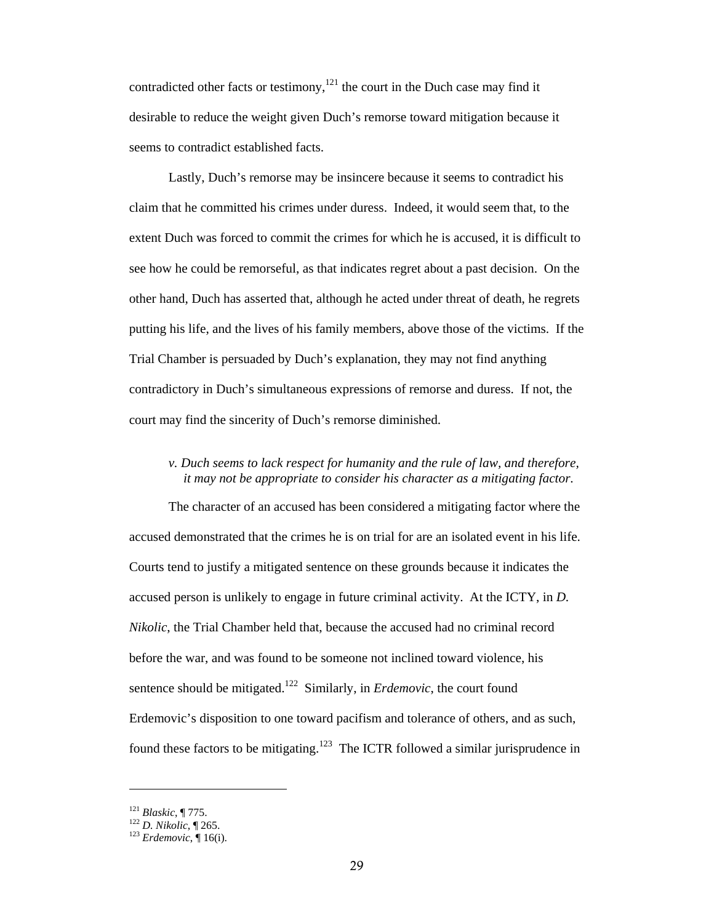contradicted other facts or testimony,<sup>121</sup> the court in the Duch case may find it desirable to reduce the weight given Duch's remorse toward mitigation because it seems to contradict established facts.

Lastly, Duch's remorse may be insincere because it seems to contradict his claim that he committed his crimes under duress. Indeed, it would seem that, to the extent Duch was forced to commit the crimes for which he is accused, it is difficult to see how he could be remorseful, as that indicates regret about a past decision. On the other hand, Duch has asserted that, although he acted under threat of death, he regrets putting his life, and the lives of his family members, above those of the victims. If the Trial Chamber is persuaded by Duch's explanation, they may not find anything contradictory in Duch's simultaneous expressions of remorse and duress. If not, the court may find the sincerity of Duch's remorse diminished.

# *v. Duch seems to lack respect for humanity and the rule of law, and therefore, it may not be appropriate to consider his character as a mitigating factor.*

The character of an accused has been considered a mitigating factor where the accused demonstrated that the crimes he is on trial for are an isolated event in his life. Courts tend to justify a mitigated sentence on these grounds because it indicates the accused person is unlikely to engage in future criminal activity. At the ICTY, in *D. Nikolic*, the Trial Chamber held that, because the accused had no criminal record before the war, and was found to be someone not inclined toward violence, his sentence should be mitigated.<sup>122</sup> Similarly, in *Erdemovic*, the court found Erdemovic's disposition to one toward pacifism and tolerance of others, and as such, found these factors to be mitigating.123 The ICTR followed a similar jurisprudence in

<sup>121</sup> *Blaskic*, ¶ 775. 122 *D. Nikolic*, ¶ 265. 123 *Erdemovic*, ¶ 16(i).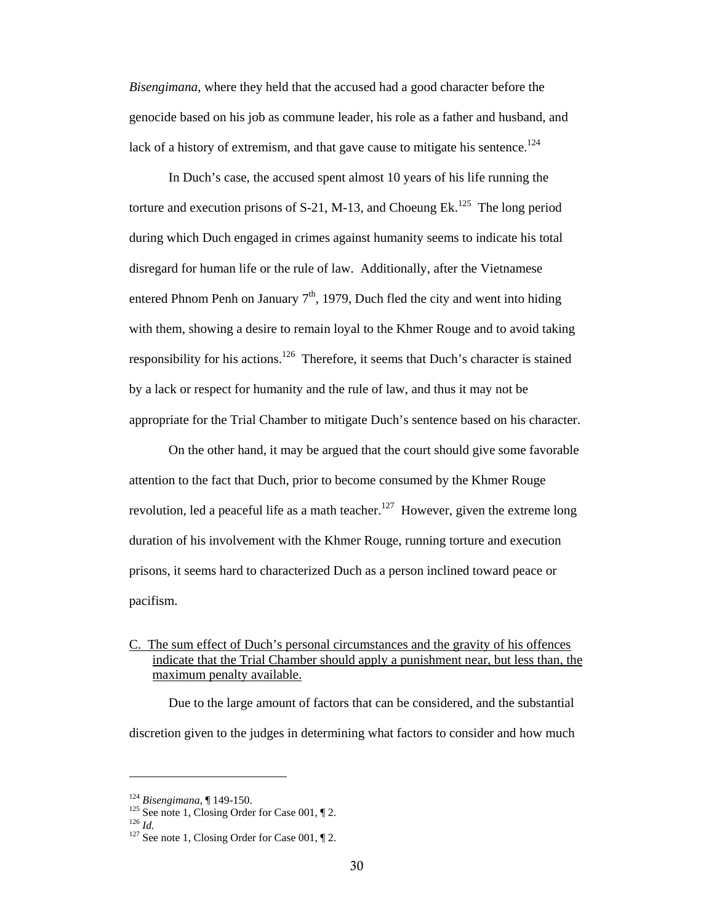*Bisengimana*, where they held that the accused had a good character before the genocide based on his job as commune leader, his role as a father and husband, and lack of a history of extremism, and that gave cause to mitigate his sentence.<sup>124</sup>

In Duch's case, the accused spent almost 10 years of his life running the torture and execution prisons of S-21, M-13, and Choeung Ek.<sup>125</sup> The long period during which Duch engaged in crimes against humanity seems to indicate his total disregard for human life or the rule of law. Additionally, after the Vietnamese entered Phnom Penh on January  $7<sup>th</sup>$ , 1979, Duch fled the city and went into hiding with them, showing a desire to remain loyal to the Khmer Rouge and to avoid taking responsibility for his actions.<sup>126</sup> Therefore, it seems that Duch's character is stained by a lack or respect for humanity and the rule of law, and thus it may not be appropriate for the Trial Chamber to mitigate Duch's sentence based on his character.

On the other hand, it may be argued that the court should give some favorable attention to the fact that Duch, prior to become consumed by the Khmer Rouge revolution, led a peaceful life as a math teacher.<sup>127</sup> However, given the extreme long duration of his involvement with the Khmer Rouge, running torture and execution prisons, it seems hard to characterized Duch as a person inclined toward peace or pacifism.

C. The sum effect of Duch's personal circumstances and the gravity of his offences indicate that the Trial Chamber should apply a punishment near, but less than, the maximum penalty available.

Due to the large amount of factors that can be considered, and the substantial discretion given to the judges in determining what factors to consider and how much

<sup>&</sup>lt;sup>124</sup> *Bisengimana*,  $\parallel$  149-150.<br><sup>125</sup> See note 1, Closing Order for Case 001,  $\parallel$  2.<br><sup>127</sup> See note 1, Closing Order for Case 001,  $\parallel$  2.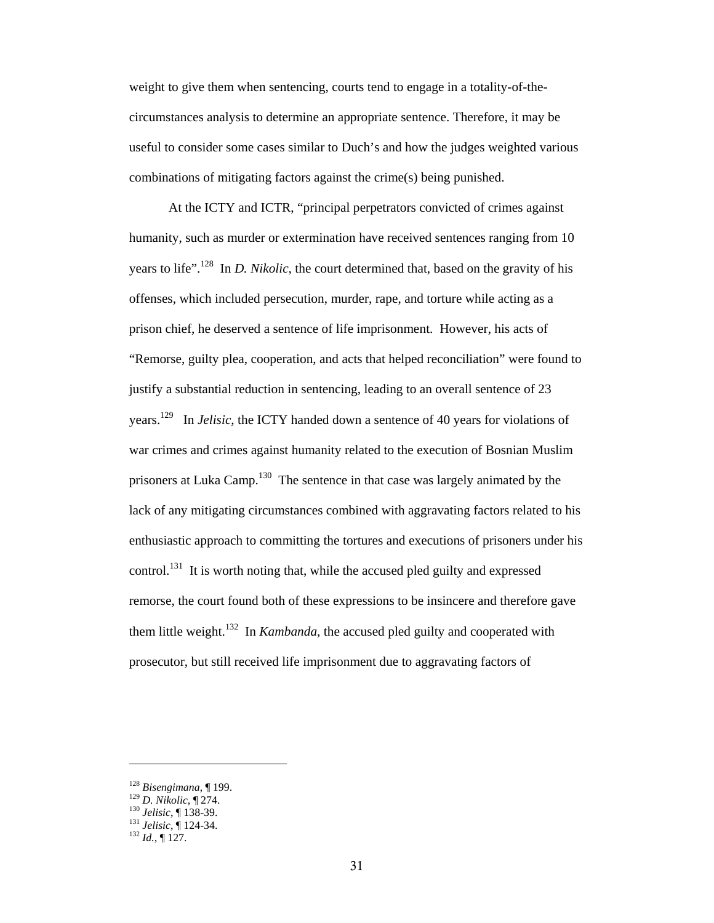weight to give them when sentencing, courts tend to engage in a totality-of-thecircumstances analysis to determine an appropriate sentence. Therefore, it may be useful to consider some cases similar to Duch's and how the judges weighted various combinations of mitigating factors against the crime(s) being punished.

At the ICTY and ICTR, "principal perpetrators convicted of crimes against humanity, such as murder or extermination have received sentences ranging from 10 years to life".128 In *D. Nikolic*, the court determined that, based on the gravity of his offenses, which included persecution, murder, rape, and torture while acting as a prison chief, he deserved a sentence of life imprisonment. However, his acts of "Remorse, guilty plea, cooperation, and acts that helped reconciliation" were found to justify a substantial reduction in sentencing, leading to an overall sentence of 23 years.129 In *Jelisic*, the ICTY handed down a sentence of 40 years for violations of war crimes and crimes against humanity related to the execution of Bosnian Muslim prisoners at Luka Camp.<sup>130</sup> The sentence in that case was largely animated by the lack of any mitigating circumstances combined with aggravating factors related to his enthusiastic approach to committing the tortures and executions of prisoners under his control.<sup>131</sup> It is worth noting that, while the accused pled guilty and expressed remorse, the court found both of these expressions to be insincere and therefore gave them little weight.132 In *Kambanda*, the accused pled guilty and cooperated with prosecutor, but still received life imprisonment due to aggravating factors of

<sup>128</sup> *Bisengimana*, ¶ 199. 129 *D. Nikolic*, ¶ 274. 130 *Jelisic*, ¶ 138-39. 131 *Jelisic*, ¶ 124-34. 132 *Id.*, ¶ 127.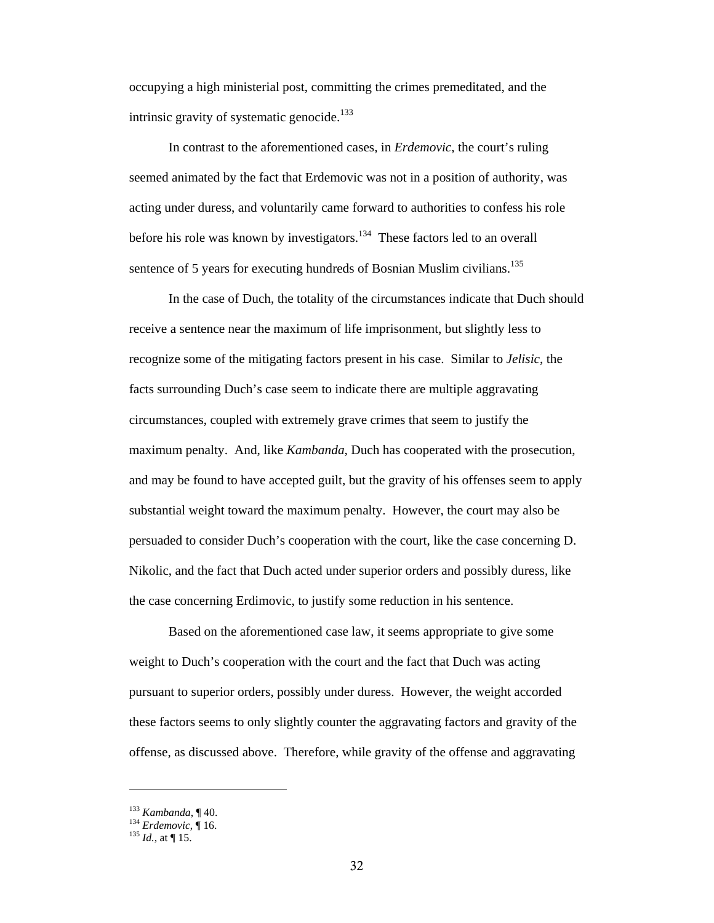occupying a high ministerial post, committing the crimes premeditated, and the intrinsic gravity of systematic genocide. $133$ 

In contrast to the aforementioned cases, in *Erdemovic*, the court's ruling seemed animated by the fact that Erdemovic was not in a position of authority, was acting under duress, and voluntarily came forward to authorities to confess his role before his role was known by investigators.134 These factors led to an overall sentence of 5 years for executing hundreds of Bosnian Muslim civilians.<sup>135</sup>

In the case of Duch, the totality of the circumstances indicate that Duch should receive a sentence near the maximum of life imprisonment, but slightly less to recognize some of the mitigating factors present in his case. Similar to *Jelisic*, the facts surrounding Duch's case seem to indicate there are multiple aggravating circumstances, coupled with extremely grave crimes that seem to justify the maximum penalty. And, like *Kambanda*, Duch has cooperated with the prosecution, and may be found to have accepted guilt, but the gravity of his offenses seem to apply substantial weight toward the maximum penalty. However, the court may also be persuaded to consider Duch's cooperation with the court, like the case concerning D. Nikolic, and the fact that Duch acted under superior orders and possibly duress, like the case concerning Erdimovic, to justify some reduction in his sentence.

Based on the aforementioned case law, it seems appropriate to give some weight to Duch's cooperation with the court and the fact that Duch was acting pursuant to superior orders, possibly under duress. However, the weight accorded these factors seems to only slightly counter the aggravating factors and gravity of the offense, as discussed above. Therefore, while gravity of the offense and aggravating

<sup>133</sup> *Kambanda*, ¶ 40. 134 *Erdemovic*, ¶ 16. 135 *Id.*, at ¶ 15.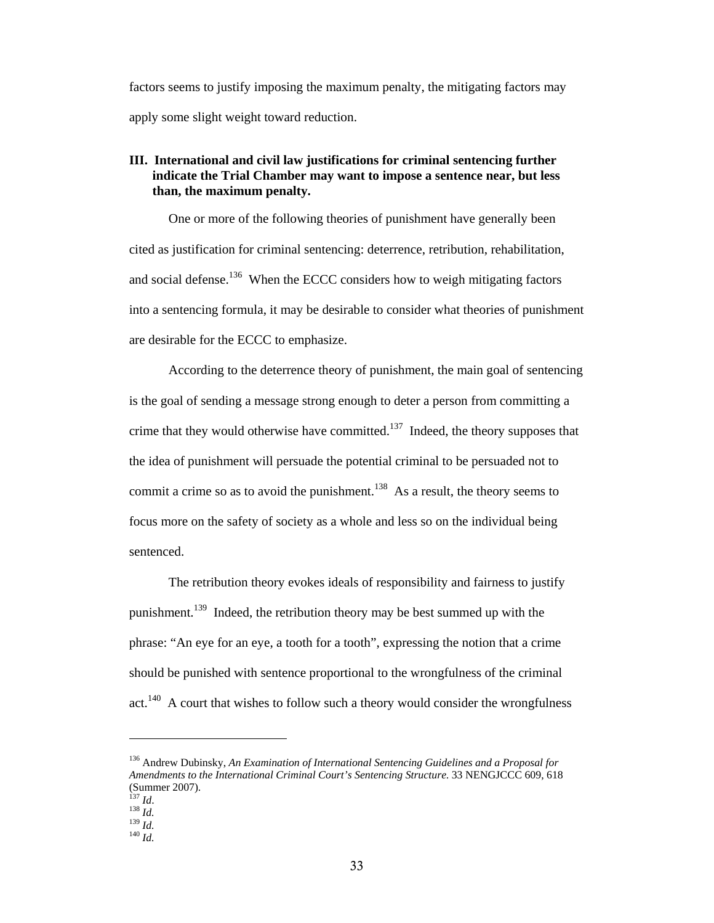factors seems to justify imposing the maximum penalty, the mitigating factors may apply some slight weight toward reduction.

## **III. International and civil law justifications for criminal sentencing further indicate the Trial Chamber may want to impose a sentence near, but less than, the maximum penalty.**

One or more of the following theories of punishment have generally been cited as justification for criminal sentencing: deterrence, retribution, rehabilitation, and social defense.<sup>136</sup> When the ECCC considers how to weigh mitigating factors into a sentencing formula, it may be desirable to consider what theories of punishment are desirable for the ECCC to emphasize.

According to the deterrence theory of punishment, the main goal of sentencing is the goal of sending a message strong enough to deter a person from committing a crime that they would otherwise have committed.<sup>137</sup> Indeed, the theory supposes that the idea of punishment will persuade the potential criminal to be persuaded not to commit a crime so as to avoid the punishment.<sup>138</sup> As a result, the theory seems to focus more on the safety of society as a whole and less so on the individual being sentenced.

The retribution theory evokes ideals of responsibility and fairness to justify punishment.<sup>139</sup> Indeed, the retribution theory may be best summed up with the phrase: "An eye for an eye, a tooth for a tooth", expressing the notion that a crime should be punished with sentence proportional to the wrongfulness of the criminal  $act.<sup>140</sup>$  A court that wishes to follow such a theory would consider the wrongfulness

<sup>136</sup> Andrew Dubinsky, *An Examination of International Sentencing Guidelines and a Proposal for Amendments to the International Criminal Court's Sentencing Structure*. 33 NENGJCCC 609, 618 (Summer 2007).<br> $^{137}$  *Id.* 

<sup>137</sup> *Id*. 138 *Id.* 139 *Id.* 140 *Id.*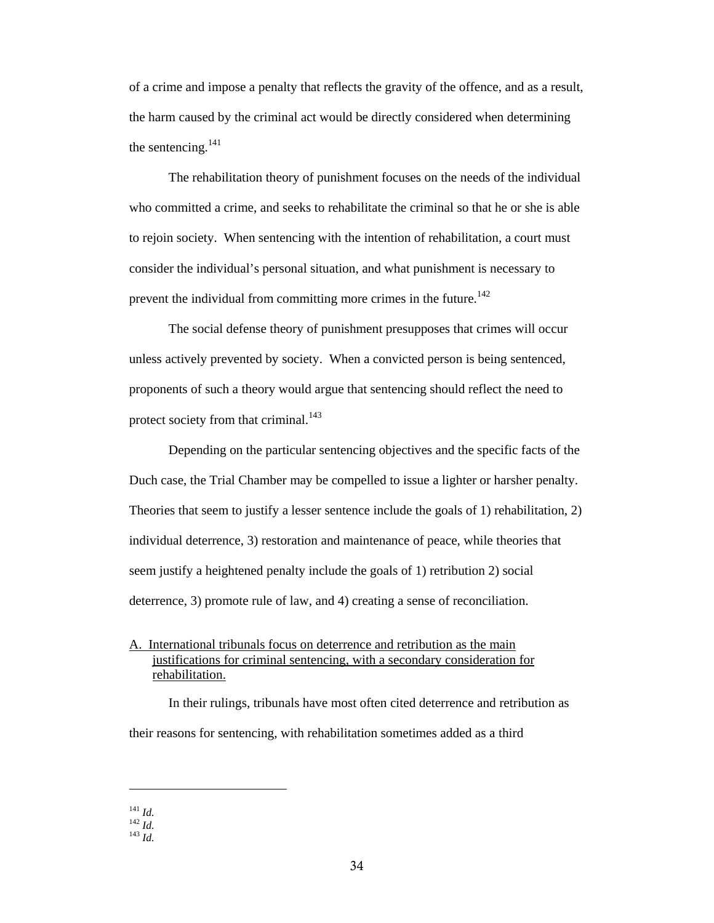of a crime and impose a penalty that reflects the gravity of the offence, and as a result, the harm caused by the criminal act would be directly considered when determining the sentencing. $^{141}$ 

The rehabilitation theory of punishment focuses on the needs of the individual who committed a crime, and seeks to rehabilitate the criminal so that he or she is able to rejoin society. When sentencing with the intention of rehabilitation, a court must consider the individual's personal situation, and what punishment is necessary to prevent the individual from committing more crimes in the future.<sup>142</sup>

The social defense theory of punishment presupposes that crimes will occur unless actively prevented by society. When a convicted person is being sentenced, proponents of such a theory would argue that sentencing should reflect the need to protect society from that criminal.<sup>143</sup>

Depending on the particular sentencing objectives and the specific facts of the Duch case, the Trial Chamber may be compelled to issue a lighter or harsher penalty. Theories that seem to justify a lesser sentence include the goals of 1) rehabilitation, 2) individual deterrence, 3) restoration and maintenance of peace, while theories that seem justify a heightened penalty include the goals of 1) retribution 2) social deterrence, 3) promote rule of law, and 4) creating a sense of reconciliation.

A. International tribunals focus on deterrence and retribution as the main justifications for criminal sentencing, with a secondary consideration for rehabilitation.

In their rulings, tribunals have most often cited deterrence and retribution as their reasons for sentencing, with rehabilitation sometimes added as a third

<sup>141</sup> *Id.* 142 *Id.* 143 *Id.*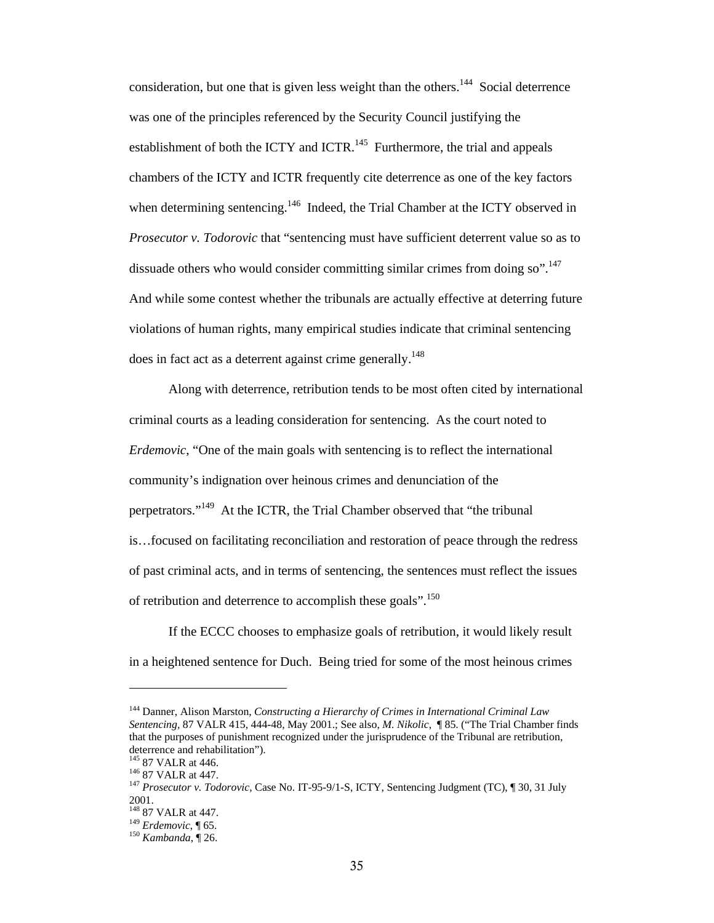consideration, but one that is given less weight than the others.<sup>144</sup> Social deterrence was one of the principles referenced by the Security Council justifying the establishment of both the ICTY and ICTR.<sup>145</sup> Furthermore, the trial and appeals chambers of the ICTY and ICTR frequently cite deterrence as one of the key factors when determining sentencing.<sup>146</sup> Indeed, the Trial Chamber at the ICTY observed in *Prosecutor v. Todorovic* that "sentencing must have sufficient deterrent value so as to dissuade others who would consider committing similar crimes from doing so".<sup>147</sup> And while some contest whether the tribunals are actually effective at deterring future violations of human rights, many empirical studies indicate that criminal sentencing does in fact act as a deterrent against crime generally.<sup>148</sup>

Along with deterrence, retribution tends to be most often cited by international criminal courts as a leading consideration for sentencing. As the court noted to *Erdemovic*, "One of the main goals with sentencing is to reflect the international community's indignation over heinous crimes and denunciation of the perpetrators."149 At the ICTR, the Trial Chamber observed that "the tribunal is…focused on facilitating reconciliation and restoration of peace through the redress of past criminal acts, and in terms of sentencing, the sentences must reflect the issues of retribution and deterrence to accomplish these goals".<sup>150</sup>

If the ECCC chooses to emphasize goals of retribution, it would likely result in a heightened sentence for Duch. Being tried for some of the most heinous crimes

<sup>144</sup> Danner, Alison Marston, *Constructing a Hierarchy of Crimes in International Criminal Law Sentencing*, 87 VALR 415, 444-48, May 2001.; See also, *M. Nikolic*, ¶ 85. ("The Trial Chamber finds that the purposes of punishment recognized under the jurisprudence of the Tribunal are retribution, deterrence and rehabilitation").<br><sup>145</sup> 87 VALR at 446.

<sup>&</sup>lt;sup>146</sup> 87 VALR at 447.<br><sup>147</sup> *Prosecutor v. Todorovic*, Case No. IT-95-9/1-S, ICTY, Sentencing Judgment (TC), ¶ 30, 31 July 2001.<br><sup>148</sup> 87 VALR at 447.

<sup>&</sup>lt;sup>149</sup> *Erdemovic*, ¶ 65.<br><sup>150</sup> *Kambanda*, ¶ 26.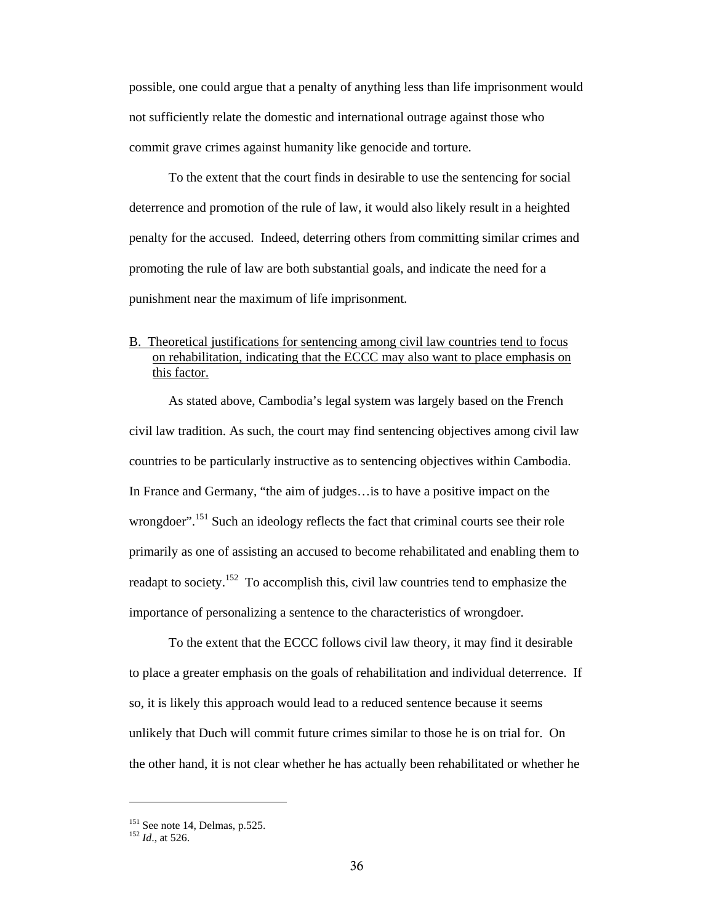possible, one could argue that a penalty of anything less than life imprisonment would not sufficiently relate the domestic and international outrage against those who commit grave crimes against humanity like genocide and torture.

To the extent that the court finds in desirable to use the sentencing for social deterrence and promotion of the rule of law, it would also likely result in a heighted penalty for the accused. Indeed, deterring others from committing similar crimes and promoting the rule of law are both substantial goals, and indicate the need for a punishment near the maximum of life imprisonment.

# B. Theoretical justifications for sentencing among civil law countries tend to focus on rehabilitation, indicating that the ECCC may also want to place emphasis on this factor.

As stated above, Cambodia's legal system was largely based on the French civil law tradition. As such, the court may find sentencing objectives among civil law countries to be particularly instructive as to sentencing objectives within Cambodia. In France and Germany, "the aim of judges…is to have a positive impact on the wrongdoer".<sup>151</sup> Such an ideology reflects the fact that criminal courts see their role primarily as one of assisting an accused to become rehabilitated and enabling them to readapt to society.<sup>152</sup> To accomplish this, civil law countries tend to emphasize the importance of personalizing a sentence to the characteristics of wrongdoer.

To the extent that the ECCC follows civil law theory, it may find it desirable to place a greater emphasis on the goals of rehabilitation and individual deterrence. If so, it is likely this approach would lead to a reduced sentence because it seems unlikely that Duch will commit future crimes similar to those he is on trial for. On the other hand, it is not clear whether he has actually been rehabilitated or whether he

<sup>151</sup> See note 14, Delmas, p.525. 152 *Id*., at 526.